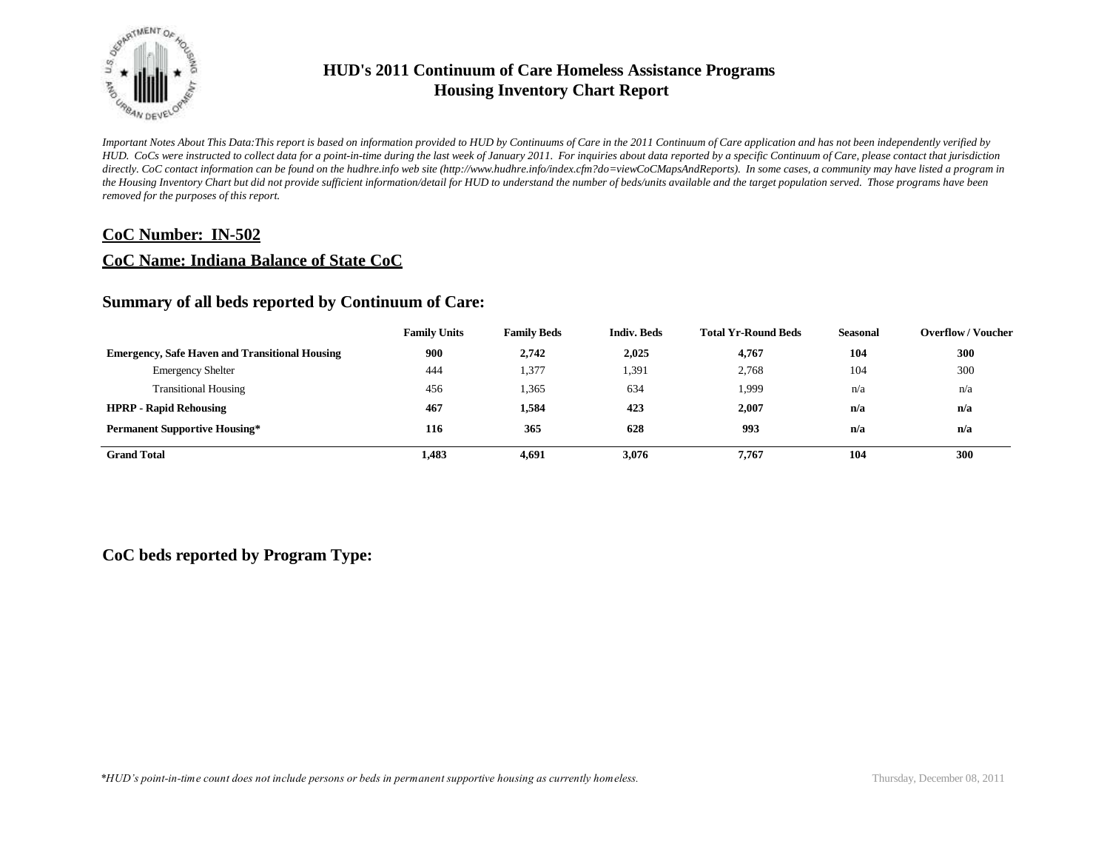

*Important Notes About This Data:This report is based on information provided to HUD by Continuums of Care in the 2011 Continuum of Care application and has not been independently verified by HUD. CoCs were instructed to collect data for a point-in-time during the last week of January 2011. For inquiries about data reported by a specific Continuum of Care, please contact that jurisdiction*  directly. CoC contact information can be found on the hudhre.info web site (http://www.hudhre.info/index.cfm?do=viewCoCMapsAndReports). In some cases, a community may have listed a program in *the Housing Inventory Chart but did not provide sufficient information/detail for HUD to understand the number of beds/units available and the target population served. Those programs have been removed for the purposes of this report.*

### **CoC Number: IN-502**

### **CoC Name: Indiana Balance of State CoC**

### **Summary of all beds reported by Continuum of Care:**

|                                                       | <b>Family Units</b> | <b>Family Beds</b> | <b>Indiv. Beds</b> | <b>Total Yr-Round Beds</b> | Seasonal | <b>Overflow / Voucher</b> |
|-------------------------------------------------------|---------------------|--------------------|--------------------|----------------------------|----------|---------------------------|
| <b>Emergency, Safe Haven and Transitional Housing</b> | 900                 | 2,742              | 2,025              | 4,767                      | 104      | 300                       |
| <b>Emergency Shelter</b>                              | 444                 | 1,377              | 1,391              | 2,768                      | 104      | 300                       |
| <b>Transitional Housing</b>                           | 456                 | 1,365              | 634                | 1,999                      | n/a      | n/a                       |
| <b>HPRP - Rapid Rehousing</b>                         | 467                 | 1,584              | 423                | 2.007                      | n/a      | n/a                       |
| <b>Permanent Supportive Housing*</b>                  | 116                 | 365                | 628                | 993                        | n/a      | n/a                       |
| <b>Grand Total</b>                                    | 1,483               | 4,691              | 3,076              | 7.767                      | 104      | 300                       |

### **CoC beds reported by Program Type:**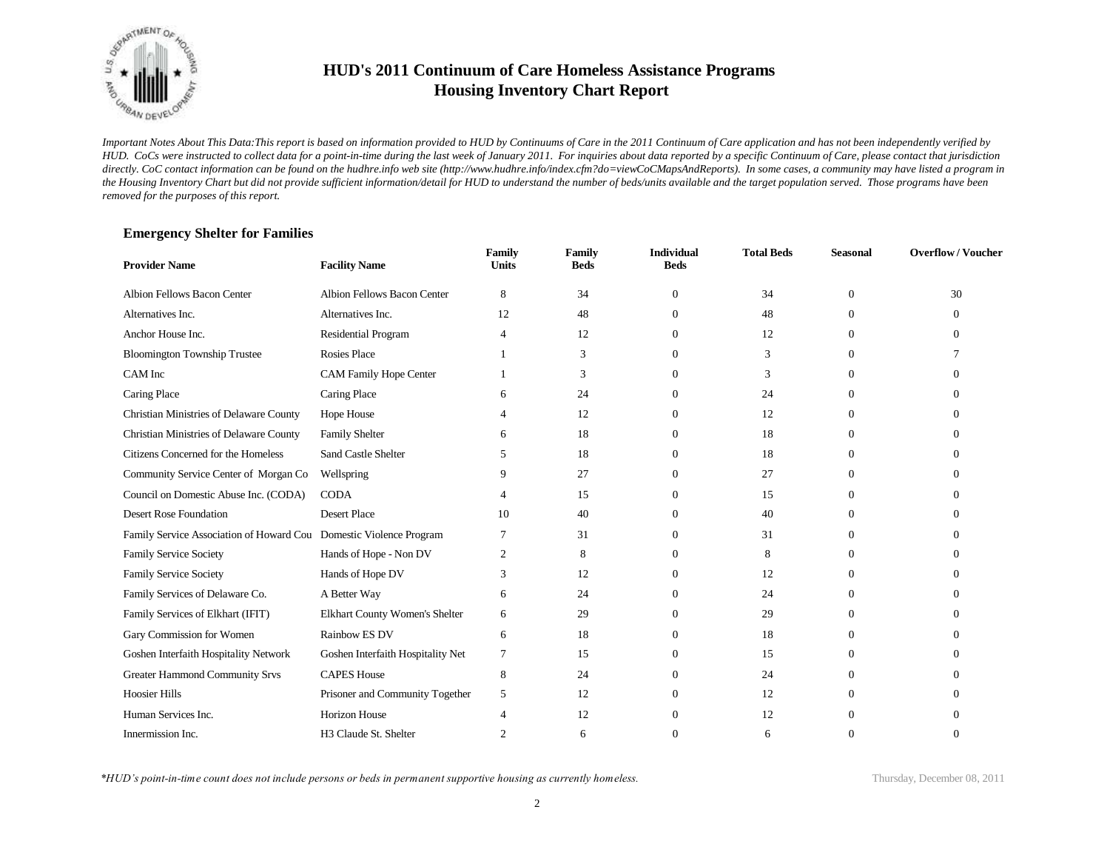

*Important Notes About This Data:This report is based on information provided to HUD by Continuums of Care in the 2011 Continuum of Care application and has not been independently verified by HUD. CoCs were instructed to collect data for a point-in-time during the last week of January 2011. For inquiries about data reported by a specific Continuum of Care, please contact that jurisdiction*  directly. CoC contact information can be found on the hudhre.info web site (http://www.hudhre.info/index.cfm?do=viewCoCMapsAndReports). In some cases, a community may have listed a program in *the Housing Inventory Chart but did not provide sufficient information/detail for HUD to understand the number of beds/units available and the target population served. Those programs have been removed for the purposes of this report.*

#### **Emergency Shelter for Families**

| <b>Provider Name</b>                                               | <b>Facility Name</b>              | Family<br><b>Units</b> | <b>Family</b><br><b>Beds</b> | <b>Individual</b><br><b>Beds</b> | <b>Total Beds</b> | <b>Seasonal</b> | <b>Overflow/Voucher</b> |
|--------------------------------------------------------------------|-----------------------------------|------------------------|------------------------------|----------------------------------|-------------------|-----------------|-------------------------|
| Albion Fellows Bacon Center                                        | Albion Fellows Bacon Center       | 8                      | 34                           | $\mathbf{0}$                     | 34                | $\theta$        | 30                      |
| Alternatives Inc.                                                  | Alternatives Inc.                 | 12                     | 48                           | 0                                | 48                | $\Omega$        | 0                       |
| Anchor House Inc.                                                  | Residential Program               | $\overline{4}$         | 12                           | 0                                | 12                | $\theta$        | 0                       |
| <b>Bloomington Township Trustee</b>                                | <b>Rosies Place</b>               |                        | 3                            | 0                                | 3                 | $\Omega$        |                         |
| CAM Inc                                                            | <b>CAM Family Hope Center</b>     |                        | 3                            | 0                                | 3                 | $\Omega$        |                         |
| Caring Place                                                       | Caring Place                      |                        | 24                           | 0                                | 24                | $\Omega$        |                         |
| Christian Ministries of Delaware County                            | Hope House                        |                        | 12                           | $\Omega$                         | 12                | $\Omega$        |                         |
| Christian Ministries of Delaware County                            | <b>Family Shelter</b>             | 6                      | 18                           | 0                                | 18                | $\Omega$        |                         |
| Citizens Concerned for the Homeless                                | <b>Sand Castle Shelter</b>        | 5                      | 18                           | 0                                | 18                | $\Omega$        |                         |
| Community Service Center of Morgan Co                              | Wellspring                        |                        | 27                           | 0                                | 27                | $\Omega$        |                         |
| Council on Domestic Abuse Inc. (CODA)                              | <b>CODA</b>                       |                        | 15                           | 0                                | 15                | $\Omega$        | ∩                       |
| Desert Rose Foundation                                             | <b>Desert Place</b>               | 10                     | 40                           |                                  | 40                | $\Omega$        |                         |
| Family Service Association of Howard Cou Domestic Violence Program |                                   |                        | 31                           |                                  | 31                | $\Omega$        |                         |
| Family Service Society                                             | Hands of Hope - Non DV            | 2                      | 8                            |                                  | 8                 | $\Omega$        |                         |
| Family Service Society                                             | Hands of Hope DV                  | 3                      | 12                           | 0                                | 12                | $\Omega$        |                         |
| Family Services of Delaware Co.                                    | A Better Way                      | 6                      | 24                           |                                  | 24                | $\Omega$        |                         |
| Family Services of Elkhart (IFIT)                                  | Elkhart County Women's Shelter    | 6                      | 29                           | $\Omega$                         | 29                | $\Omega$        |                         |
| Gary Commission for Women                                          | Rainbow ES DV                     | 6                      | 18                           | $\Omega$                         | 18                | $\Omega$        |                         |
| Goshen Interfaith Hospitality Network                              | Goshen Interfaith Hospitality Net | 7                      | 15                           | $\Omega$                         | 15                | $\Omega$        |                         |
| Greater Hammond Community Srvs                                     | <b>CAPES House</b>                | 8                      | 24                           | 0                                | 24                | $\Omega$        |                         |
| <b>Hoosier Hills</b>                                               | Prisoner and Community Together   | 5                      | 12                           | 0                                | 12                | $\Omega$        |                         |
| Human Services Inc.                                                | Horizon House                     |                        | 12                           |                                  | 12                | $\Omega$        |                         |
| Innermission Inc.                                                  | H3 Claude St. Shelter             | 2                      | 6                            |                                  | 6                 | $\Omega$        |                         |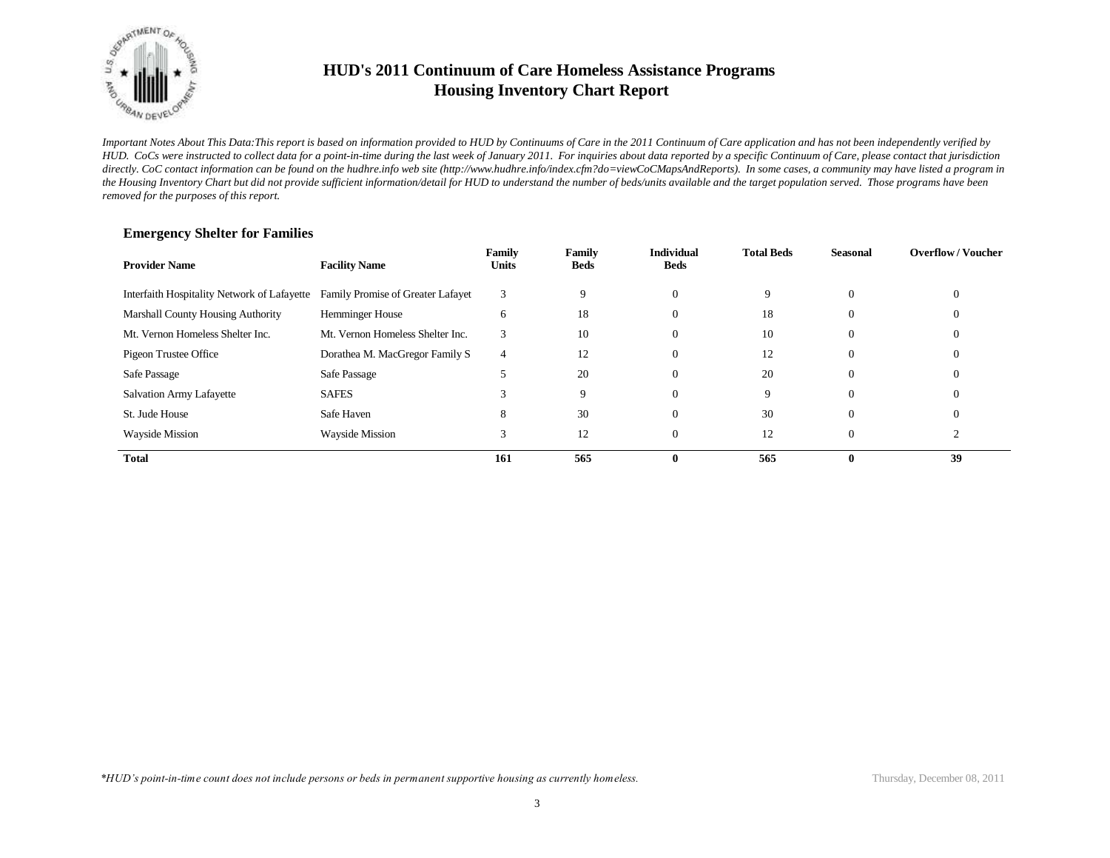

*Important Notes About This Data:This report is based on information provided to HUD by Continuums of Care in the 2011 Continuum of Care application and has not been independently verified by HUD. CoCs were instructed to collect data for a point-in-time during the last week of January 2011. For inquiries about data reported by a specific Continuum of Care, please contact that jurisdiction*  directly. CoC contact information can be found on the hudhre.info web site (http://www.hudhre.info/index.cfm?do=viewCoCMapsAndReports). In some cases, a community may have listed a program in *the Housing Inventory Chart but did not provide sufficient information/detail for HUD to understand the number of beds/units available and the target population served. Those programs have been removed for the purposes of this report.*

| <b>Provider Name</b>                        | <b>Facility Name</b>              | Family<br><b>Units</b> | Family<br>Beds | <b>Individual</b><br><b>Beds</b> | <b>Total Beds</b> | <b>Seasonal</b> | <b>Overflow/Voucher</b> |
|---------------------------------------------|-----------------------------------|------------------------|----------------|----------------------------------|-------------------|-----------------|-------------------------|
| Interfaith Hospitality Network of Lafayette | Family Promise of Greater Lafayet | 3                      | Q              | $\Omega$                         | 9                 | $\Omega$        |                         |
| <b>Marshall County Housing Authority</b>    | <b>Hemminger House</b>            | 6                      | 18             | $\Omega$                         | 18                | $\mathbf{0}$    |                         |
| Mt. Vernon Homeless Shelter Inc.            | Mt. Vernon Homeless Shelter Inc.  | 3                      | 10             | $\Omega$                         | 10                | $\mathbf{0}$    |                         |
| Pigeon Trustee Office                       | Dorathea M. MacGregor Family S    | 4                      | 12             | $\Omega$                         | 12                | $\overline{0}$  |                         |
| Safe Passage                                | Safe Passage                      |                        | 20             | $\Omega$                         | 20                | $\overline{0}$  |                         |
| Salvation Army Lafayette                    | <b>SAFES</b>                      |                        | 9              | $\Omega$                         | 9                 | $\Omega$        |                         |
| St. Jude House                              | Safe Haven                        | 8                      | 30             | $\overline{0}$                   | 30                | $\overline{0}$  |                         |
| <b>Wayside Mission</b>                      | <b>Wayside Mission</b>            | Ć                      | 12             | $\theta$                         | 12                | $\overline{0}$  |                         |
| <b>Total</b>                                |                                   | 161                    | 565            | $\mathbf{0}$                     | 565               | $\mathbf{0}$    | 39                      |

#### **Emergency Shelter for Families**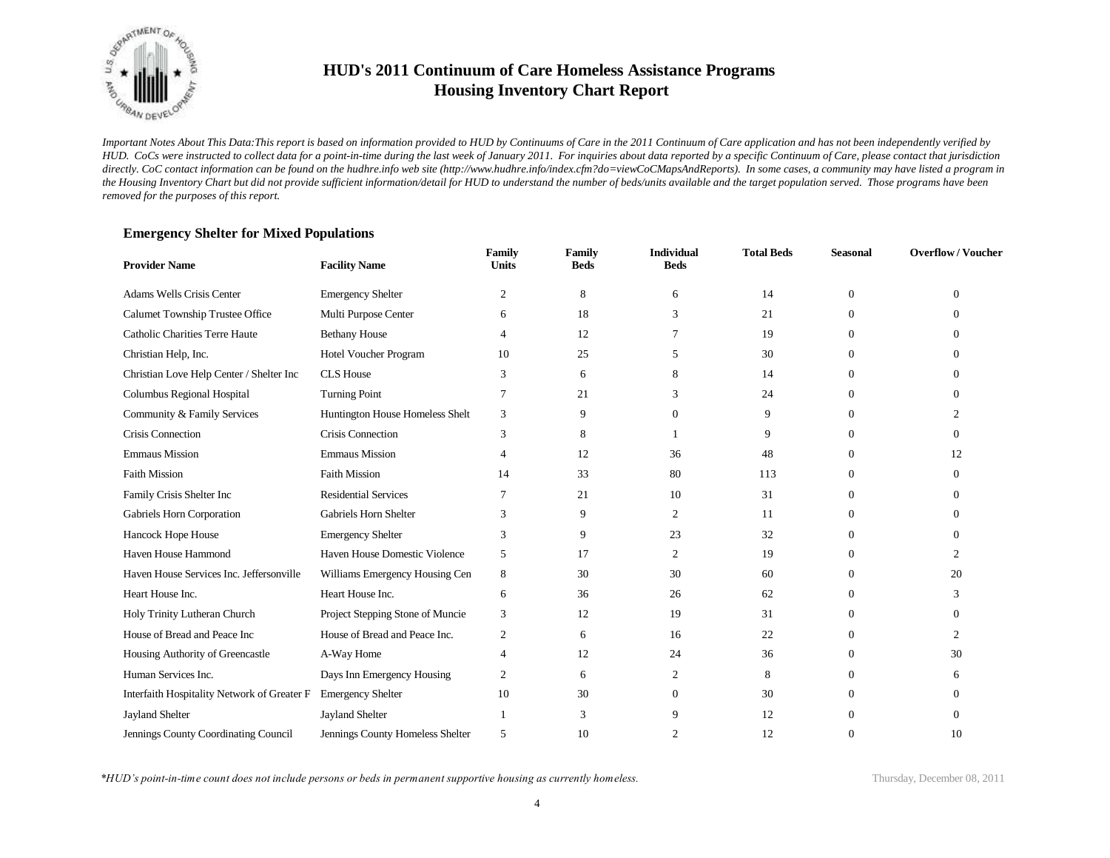

*Important Notes About This Data:This report is based on information provided to HUD by Continuums of Care in the 2011 Continuum of Care application and has not been independently verified by HUD. CoCs were instructed to collect data for a point-in-time during the last week of January 2011. For inquiries about data reported by a specific Continuum of Care, please contact that jurisdiction*  directly. CoC contact information can be found on the hudhre.info web site (http://www.hudhre.info/index.cfm?do=viewCoCMapsAndReports). In some cases, a community may have listed a program in *the Housing Inventory Chart but did not provide sufficient information/detail for HUD to understand the number of beds/units available and the target population served. Those programs have been removed for the purposes of this report.*

#### **Emergency Shelter for Mixed Populations**

| <b>Provider Name</b>                        | <b>Facility Name</b>             | Family<br><b>Units</b> | Family<br><b>Beds</b> | <b>Individual</b><br><b>Beds</b> | <b>Total Beds</b> | <b>Seasonal</b> | <b>Overflow/Voucher</b> |
|---------------------------------------------|----------------------------------|------------------------|-----------------------|----------------------------------|-------------------|-----------------|-------------------------|
| Adams Wells Crisis Center                   | <b>Emergency Shelter</b>         | $\overline{c}$         | 8                     | 6                                | 14                | $\mathbf{0}$    | $\mathbf{0}$            |
| Calumet Township Trustee Office             | Multi Purpose Center             | 6                      | 18                    | 3                                | 21                | $\Omega$        | $\Omega$                |
| Catholic Charities Terre Haute              | <b>Bethany House</b>             | 4                      | 12                    |                                  | 19                | $\overline{0}$  | 0                       |
| Christian Help, Inc.                        | Hotel Voucher Program            | 10                     | 25                    | 5                                | 30                | $\Omega$        | 0                       |
| Christian Love Help Center / Shelter Inc    | <b>CLS</b> House                 | 3                      | 6                     | 8                                | 14                | $\overline{0}$  | $\Omega$                |
| Columbus Regional Hospital                  | Turning Point                    | 7                      | 21                    | 3                                | 24                | $\Omega$        | $\Omega$                |
| Community & Family Services                 | Huntington House Homeless Shelt  | 3                      | 9                     | $\Omega$                         | 9                 | $\theta$        | $\overline{c}$          |
| Crisis Connection                           | Crisis Connection                | 3                      | 8                     |                                  | 9                 | $\Omega$        | $\Omega$                |
| <b>Emmaus Mission</b>                       | <b>Emmaus Mission</b>            | 4                      | 12                    | 36                               | 48                | $\Omega$        | 12                      |
| <b>Faith Mission</b>                        | <b>Faith Mission</b>             | 14                     | 33                    | 80                               | 113               | $\Omega$        | $\Omega$                |
| Family Crisis Shelter Inc                   | <b>Residential Services</b>      |                        | 21                    | 10                               | 31                | $\Omega$        | 0                       |
| Gabriels Horn Corporation                   | Gabriels Horn Shelter            | 3                      | 9                     | 2                                | 11                | $\Omega$        | 0                       |
| Hancock Hope House                          | <b>Emergency Shelter</b>         | 3                      | 9                     | 23                               | 32                | $\Omega$        | $\Omega$                |
| Haven House Hammond                         | Haven House Domestic Violence    | 5                      | 17                    | 2                                | 19                | $\Omega$        | $\mathfrak{D}$          |
| Haven House Services Inc. Jeffersonville    | Williams Emergency Housing Cen   | 8                      | 30                    | 30                               | 60                | $\Omega$        | 20                      |
| Heart House Inc.                            | Heart House Inc.                 | 6                      | 36                    | 26                               | 62                | $\theta$        | 3                       |
| Holy Trinity Lutheran Church                | Project Stepping Stone of Muncie | 3                      | 12                    | 19                               | 31                | $\Omega$        | $\Omega$                |
| House of Bread and Peace Inc                | House of Bread and Peace Inc.    | 2                      | 6                     | 16                               | 22                | $\Omega$        | $\mathfrak{D}$          |
| Housing Authority of Greencastle            | A-Way Home                       | $\overline{4}$         | 12                    | 24                               | 36                | $\Omega$        | 30                      |
| Human Services Inc.                         | Days Inn Emergency Housing       | 2                      | 6                     | 2                                | 8                 | $\Omega$        | 6                       |
| Interfaith Hospitality Network of Greater F | <b>Emergency Shelter</b>         | 10                     | 30                    | $\Omega$                         | 30                | $\Omega$        | $\Omega$                |
| <b>Jayland Shelter</b>                      | <b>Jayland Shelter</b>           |                        | 3                     | 9                                | 12                | $\Omega$        | 0                       |
| Jennings County Coordinating Council        | Jennings County Homeless Shelter | 5                      | 10                    | 2                                | 12                | $\Omega$        | 10                      |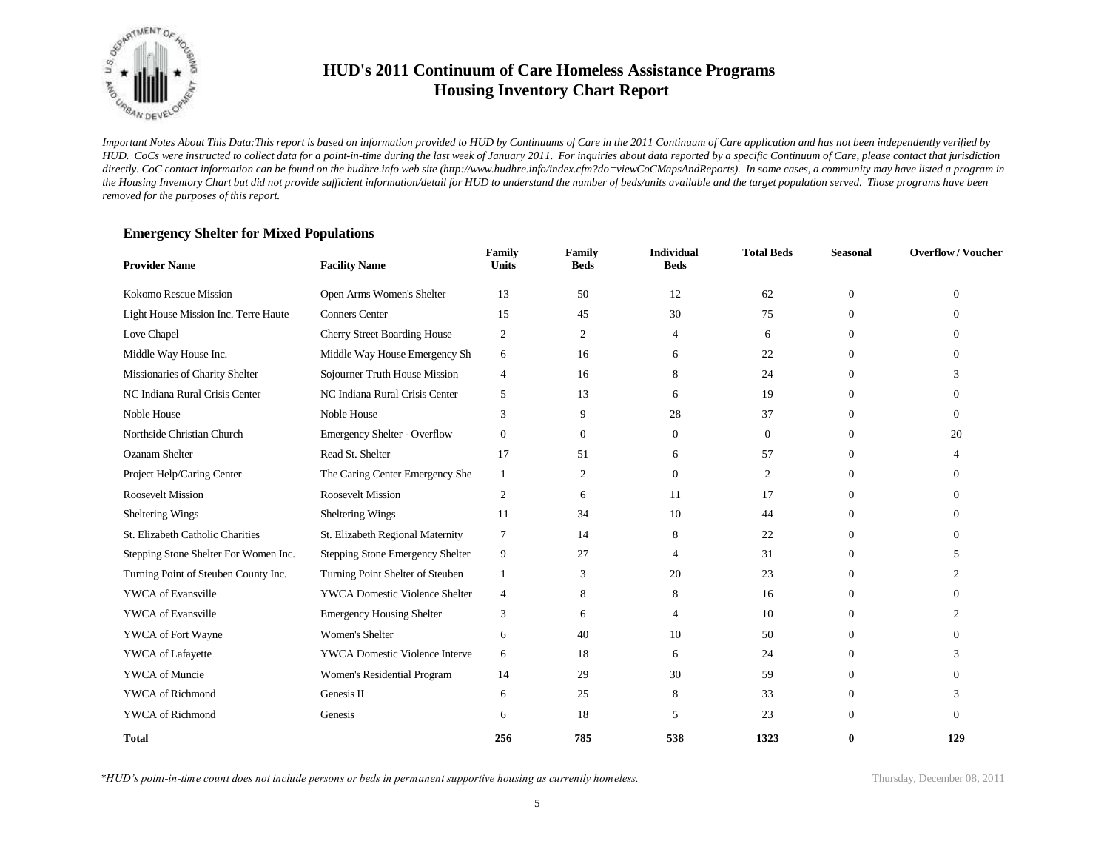

*Important Notes About This Data:This report is based on information provided to HUD by Continuums of Care in the 2011 Continuum of Care application and has not been independently verified by HUD. CoCs were instructed to collect data for a point-in-time during the last week of January 2011. For inquiries about data reported by a specific Continuum of Care, please contact that jurisdiction*  directly. CoC contact information can be found on the hudhre.info web site (http://www.hudhre.info/index.cfm?do=viewCoCMapsAndReports). In some cases, a community may have listed a program in *the Housing Inventory Chart but did not provide sufficient information/detail for HUD to understand the number of beds/units available and the target population served. Those programs have been removed for the purposes of this report.*

| <b>Provider Name</b>                  | <b>Facility Name</b>                  | Family<br><b>Units</b> | Family<br><b>Beds</b> | <b>Individual</b><br><b>Beds</b> | <b>Total Beds</b> | <b>Seasonal</b> | <b>Overflow/Voucher</b> |
|---------------------------------------|---------------------------------------|------------------------|-----------------------|----------------------------------|-------------------|-----------------|-------------------------|
| Kokomo Rescue Mission                 | Open Arms Women's Shelter             | 13                     | 50                    | 12                               | 62                | $\theta$        | $\Omega$                |
| Light House Mission Inc. Terre Haute  | <b>Conners Center</b>                 | 15                     | 45                    | 30                               | 75                | $\Omega$        | $\Omega$                |
| Love Chapel                           | <b>Cherry Street Boarding House</b>   | $\overline{c}$         | 2                     | 4                                | 6                 | $\Omega$        | $\Omega$                |
| Middle Way House Inc.                 | Middle Way House Emergency Sh         | 6                      | 16                    | 6                                | 22                | $\Omega$        | $\Omega$                |
| Missionaries of Charity Shelter       | Sojourner Truth House Mission         | 4                      | 16                    | 8                                | 24                | $\Omega$        |                         |
| NC Indiana Rural Crisis Center        | NC Indiana Rural Crisis Center        | 5                      | 13                    | 6                                | 19                | $\Omega$        | $\Omega$                |
| Noble House                           | Noble House                           | 3                      | 9                     | 28                               | 37                | $\Omega$        | $\Omega$                |
| Northside Christian Church            | <b>Emergency Shelter - Overflow</b>   | $\boldsymbol{0}$       | $\mathbf{0}$          | $\Omega$                         | $\mathbf{0}$      | $\Omega$        | 20                      |
| <b>Ozanam Shelter</b>                 | Read St. Shelter                      | 17                     | 51                    | 6                                | 57                | $\Omega$        |                         |
| Project Help/Caring Center            | The Caring Center Emergency She       | 1                      | 2                     | $\Omega$                         | 2                 | $\Omega$        | $\Omega$                |
| <b>Roosevelt Mission</b>              | <b>Roosevelt Mission</b>              | 2                      | 6                     | 11                               | 17                | $\Omega$        | $\Omega$                |
| Sheltering Wings                      | Sheltering Wings                      | 11                     | 34                    | 10                               | 44                | $\Omega$        | $\Omega$                |
| St. Elizabeth Catholic Charities      | St. Elizabeth Regional Maternity      | 7                      | 14                    | 8                                | 22                | $\Omega$        | $\Omega$                |
| Stepping Stone Shelter For Women Inc. | Stepping Stone Emergency Shelter      | 9                      | 27                    | 4                                | 31                | $\Omega$        | 5                       |
| Turning Point of Steuben County Inc.  | Turning Point Shelter of Steuben      | 1                      | 3                     | 20                               | 23                | $\Omega$        | 2                       |
| <b>YWCA</b> of Evansville             | <b>YWCA Domestic Violence Shelter</b> | $\overline{4}$         | 8                     | 8                                | 16                | $\Omega$        | $\Omega$                |
| <b>YWCA</b> of Evansville             | <b>Emergency Housing Shelter</b>      | 3                      | 6                     | 4                                | 10                | $\Omega$        |                         |
| YWCA of Fort Wayne                    | Women's Shelter                       | 6                      | 40                    | 10                               | 50                | $\Omega$        |                         |
| YWCA of Lafayette                     | <b>YWCA Domestic Violence Interve</b> | 6                      | 18                    | 6                                | 24                | $\Omega$        |                         |
| YWCA of Muncie                        | Women's Residential Program           | 14                     | 29                    | 30                               | 59                | $\Omega$        | $\Omega$                |
| <b>YWCA</b> of Richmond               | Genesis II                            | 6                      | 25                    | 8                                | 33                | $\Omega$        | 3                       |
| <b>YWCA</b> of Richmond               | Genesis                               | 6                      | 18                    | 5                                | 23                | $\overline{0}$  | $\Omega$                |
| <b>Total</b>                          |                                       | 256                    | 785                   | 538                              | 1323              | $\bf{0}$        | 129                     |

#### **Emergency Shelter for Mixed Populations**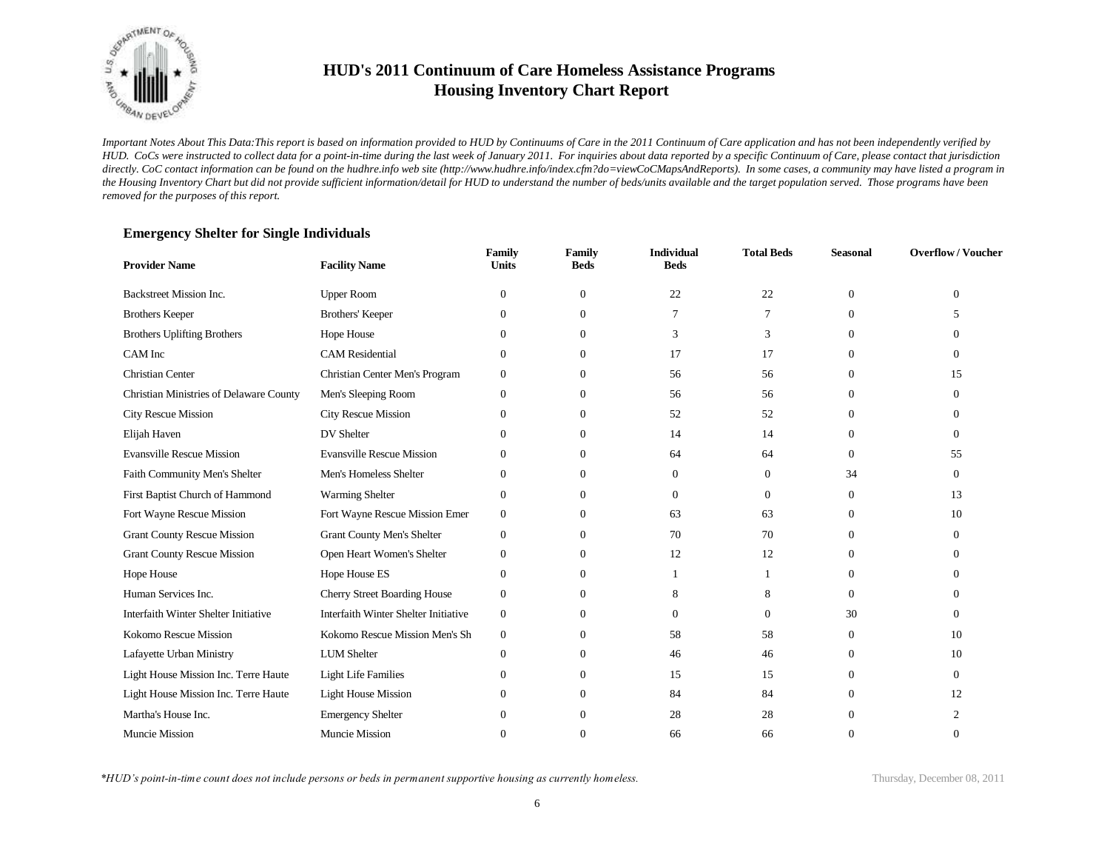

*Important Notes About This Data:This report is based on information provided to HUD by Continuums of Care in the 2011 Continuum of Care application and has not been independently verified by HUD. CoCs were instructed to collect data for a point-in-time during the last week of January 2011. For inquiries about data reported by a specific Continuum of Care, please contact that jurisdiction*  directly. CoC contact information can be found on the hudhre.info web site (http://www.hudhre.info/index.cfm?do=viewCoCMapsAndReports). In some cases, a community may have listed a program in *the Housing Inventory Chart but did not provide sufficient information/detail for HUD to understand the number of beds/units available and the target population served. Those programs have been removed for the purposes of this report.*

| <b>Provider Name</b>                    | <b>Facility Name</b>                 | Family<br><b>Units</b> | Family<br><b>Beds</b> | <b>Individual</b><br><b>Beds</b> | <b>Total Beds</b> | <b>Seasonal</b> | <b>Overflow/Voucher</b> |
|-----------------------------------------|--------------------------------------|------------------------|-----------------------|----------------------------------|-------------------|-----------------|-------------------------|
| Backstreet Mission Inc.                 | <b>Upper Room</b>                    | $\mathbf{0}$           | $\mathbf{0}$          | 22                               | 22                | $\Omega$        | $\Omega$                |
| <b>Brothers Keeper</b>                  | Brothers' Keeper                     | $\overline{0}$         | $\overline{0}$        | 7                                | 7                 | $\Omega$        | 5                       |
| <b>Brothers Uplifting Brothers</b>      | Hope House                           | $\overline{0}$         | $\overline{0}$        | 3                                | 3                 | 0               | $\Omega$                |
| CAM Inc                                 | <b>CAM</b> Residential               | $\overline{0}$         | $\overline{0}$        | 17                               | 17                | $\Omega$        | $\Omega$                |
| <b>Christian Center</b>                 | Christian Center Men's Program       | $\mathbf{0}$           | $\overline{0}$        | 56                               | 56                | $\Omega$        | 15                      |
| Christian Ministries of Delaware County | Men's Sleeping Room                  | $\overline{0}$         | $\overline{0}$        | 56                               | 56                | $\Omega$        | $\Omega$                |
| <b>City Rescue Mission</b>              | <b>City Rescue Mission</b>           | $\overline{0}$         | $\overline{0}$        | 52                               | 52                | $\Omega$        | $\Omega$                |
| Elijah Haven                            | DV Shelter                           | $\Omega$               | $\overline{0}$        | 14                               | 14                | $\Omega$        | $\Omega$                |
| <b>Evansville Rescue Mission</b>        | <b>Evansville Rescue Mission</b>     | $\Omega$               | $\overline{0}$        | 64                               | 64                | $\Omega$        | 55                      |
| Faith Community Men's Shelter           | Men's Homeless Shelter               | $\mathbf{0}$           | $\overline{0}$        | $\mathbf{0}$                     | $\mathbf{0}$      | 34              | $\Omega$                |
| First Baptist Church of Hammond         | Warming Shelter                      | $\overline{0}$         | $\overline{0}$        | $\mathbf{0}$                     | $\mathbf{0}$      | $\Omega$        | 13                      |
| Fort Wayne Rescue Mission               | Fort Wayne Rescue Mission Emer       | $\boldsymbol{0}$       | $\overline{0}$        | 63                               | 63                | $\overline{0}$  | 10                      |
| <b>Grant County Rescue Mission</b>      | <b>Grant County Men's Shelter</b>    | $\mathbf{0}$           | $\overline{0}$        | 70                               | 70                | $\Omega$        | $\Omega$                |
| <b>Grant County Rescue Mission</b>      | Open Heart Women's Shelter           | $\overline{0}$         | $\overline{0}$        | 12                               | 12                | $\Omega$        | $\Omega$                |
| Hope House                              | Hope House ES                        | $\mathbf{0}$           | $\overline{0}$        |                                  |                   | $\Omega$        | $\Omega$                |
| Human Services Inc.                     | Cherry Street Boarding House         | $\mathbf{0}$           | $\overline{0}$        | 8                                | 8                 | $\overline{0}$  | $\Omega$                |
| Interfaith Winter Shelter Initiative    | Interfaith Winter Shelter Initiative | $\boldsymbol{0}$       | $\Omega$              | $\Omega$                         | $\Omega$          | 30              | $\Omega$                |
| Kokomo Rescue Mission                   | Kokomo Rescue Mission Men's Sh       | $\boldsymbol{0}$       | $\overline{0}$        | 58                               | 58                | $\overline{0}$  | 10                      |
| Lafayette Urban Ministry                | <b>LUM</b> Shelter                   | $\boldsymbol{0}$       | $\overline{0}$        | 46                               | 46                | $\Omega$        | 10                      |
| Light House Mission Inc. Terre Haute    | <b>Light Life Families</b>           | $\mathbf{0}$           | $\overline{0}$        | 15                               | 15                | $\overline{0}$  | $\Omega$                |
| Light House Mission Inc. Terre Haute    | <b>Light House Mission</b>           | $\boldsymbol{0}$       | $\overline{0}$        | 84                               | 84                | $\Omega$        | 12                      |
| Martha's House Inc.                     | <b>Emergency Shelter</b>             | $\mathbf{0}$           | $\mathbf{0}$          | 28                               | 28                | $\Omega$        | $\overline{2}$          |
| Muncie Mission                          | Muncie Mission                       | $\mathbf{0}$           | $\Omega$              | 66                               | 66                | $\Omega$        | $\Omega$                |

#### **Emergency Shelter for Single Individuals**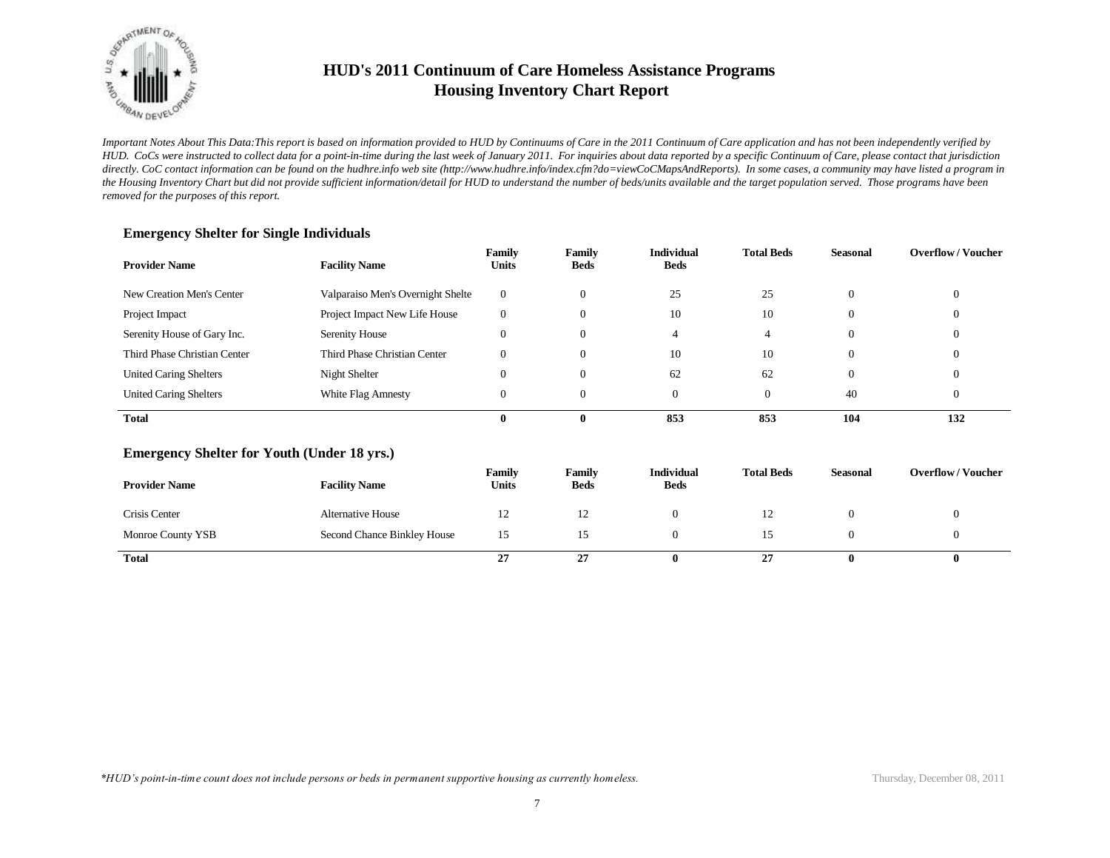

*Important Notes About This Data:This report is based on information provided to HUD by Continuums of Care in the 2011 Continuum of Care application and has not been independently verified by HUD. CoCs were instructed to collect data for a point-in-time during the last week of January 2011. For inquiries about data reported by a specific Continuum of Care, please contact that jurisdiction*  directly. CoC contact information can be found on the hudhre.info web site (http://www.hudhre.info/index.cfm?do=viewCoCMapsAndReports). In some cases, a community may have listed a program in *the Housing Inventory Chart but did not provide sufficient information/detail for HUD to understand the number of beds/units available and the target population served. Those programs have been removed for the purposes of this report.*

| <b>Provider Name</b>          | <b>Facility Name</b>              | Family<br><b>Units</b> | Family<br><b>Beds</b> | <b>Individual</b><br><b>Beds</b> | <b>Total Beds</b> | Seasonal       | <b>Overflow/Voucher</b> |
|-------------------------------|-----------------------------------|------------------------|-----------------------|----------------------------------|-------------------|----------------|-------------------------|
| New Creation Men's Center     | Valparaiso Men's Overnight Shelte | $\overline{0}$         |                       | 25                               | 25                | $\theta$       |                         |
| Project Impact                | Project Impact New Life House     | $\Omega$               |                       | 10                               | 10                | $\theta$       |                         |
| Serenity House of Gary Inc.   | Serenity House                    | $\Omega$               |                       | 4                                | 4                 | $\Omega$       |                         |
| Third Phase Christian Center  | Third Phase Christian Center      |                        |                       | 10                               | 10                | $\Omega$       |                         |
| <b>United Caring Shelters</b> | Night Shelter                     |                        |                       | 62                               | 62                | $\overline{0}$ |                         |
| <b>United Caring Shelters</b> | White Flag Amnesty                | $\theta$               |                       |                                  |                   | 40             |                         |
| <b>Total</b>                  |                                   |                        |                       | 853                              | 853               | 104            | 132                     |

#### **Emergency Shelter for Single Individuals**

#### **Emergency Shelter for Youth (Under 18 yrs.)**

| <b>Provider Name</b> | <b>Facility Name</b>        | Family<br>Units | Family<br><b>Beds</b> | <b>Individual</b><br><b>Beds</b> | <b>Total Beds</b> | Seasonal | <b>Overflow/Voucher</b> |
|----------------------|-----------------------------|-----------------|-----------------------|----------------------------------|-------------------|----------|-------------------------|
| Crisis Center        | <b>Alternative House</b>    | 12              | $\overline{1}$        |                                  | ⊥∠                |          |                         |
| Monroe County YSB    | Second Chance Binkley House | 15              |                       |                                  |                   |          |                         |
| Total                |                             | 27              | ^^<br>21              | о                                | 27                |          | 0                       |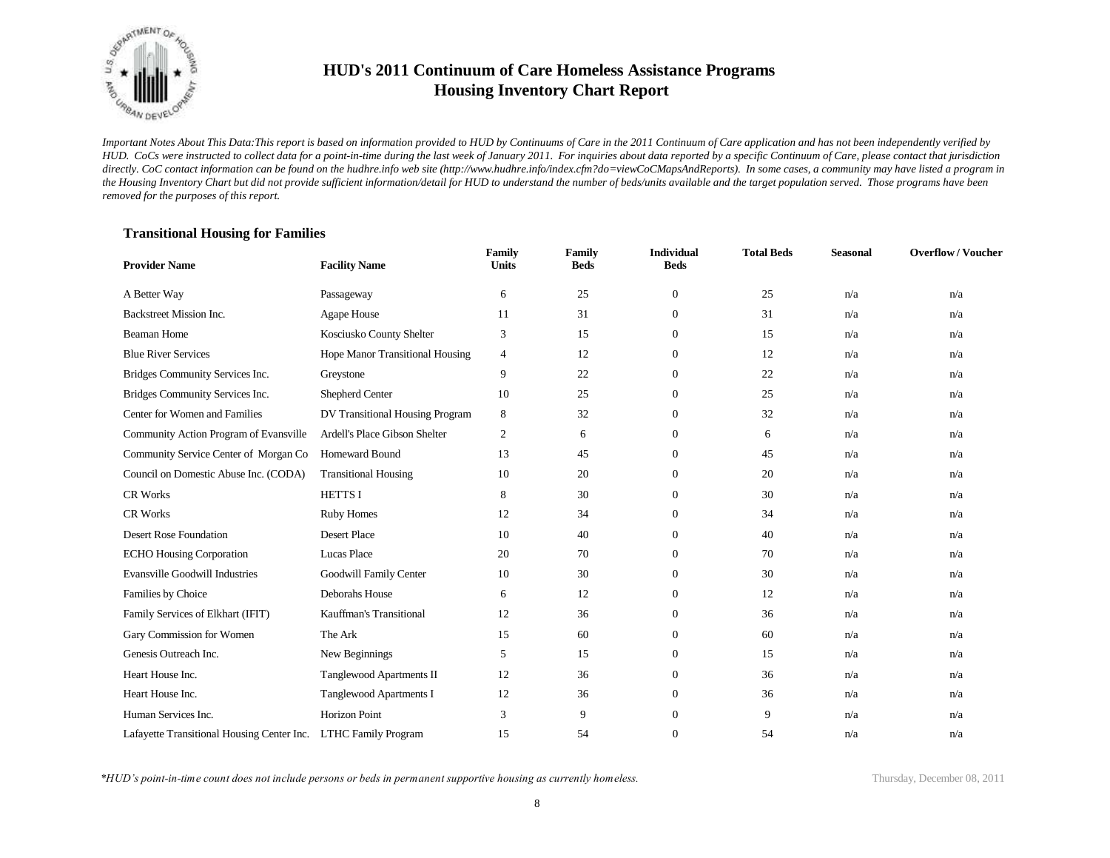

*Important Notes About This Data:This report is based on information provided to HUD by Continuums of Care in the 2011 Continuum of Care application and has not been independently verified by HUD. CoCs were instructed to collect data for a point-in-time during the last week of January 2011. For inquiries about data reported by a specific Continuum of Care, please contact that jurisdiction*  directly. CoC contact information can be found on the hudhre.info web site (http://www.hudhre.info/index.cfm?do=viewCoCMapsAndReports). In some cases, a community may have listed a program in *the Housing Inventory Chart but did not provide sufficient information/detail for HUD to understand the number of beds/units available and the target population served. Those programs have been removed for the purposes of this report.*

#### **Transitional Housing for Families**

| <b>Provider Name</b>                                           | <b>Facility Name</b>            | Family<br><b>Units</b> | <b>Family</b><br><b>Beds</b> | <b>Individual</b><br><b>Beds</b> | <b>Total Beds</b> | <b>Seasonal</b> | <b>Overflow/Voucher</b> |
|----------------------------------------------------------------|---------------------------------|------------------------|------------------------------|----------------------------------|-------------------|-----------------|-------------------------|
| A Better Way                                                   | Passageway                      | 6                      | 25                           | $\mathbf{0}$                     | 25                | n/a             | n/a                     |
| Backstreet Mission Inc.                                        | Agape House                     | 11                     | 31                           | $\boldsymbol{0}$                 | 31                | n/a             | n/a                     |
| <b>Beaman Home</b>                                             | Kosciusko County Shelter        | 3                      | 15                           | $\mathbf{0}$                     | 15                | n/a             | n/a                     |
| <b>Blue River Services</b>                                     | Hope Manor Transitional Housing | $\overline{4}$         | 12                           | $\overline{0}$                   | 12                | n/a             | n/a                     |
| Bridges Community Services Inc.                                | Greystone                       | 9                      | 22                           | $\overline{0}$                   | 22                | n/a             | n/a                     |
| Bridges Community Services Inc.                                | Shepherd Center                 | 10                     | 25                           | $\Omega$                         | 25                | n/a             | n/a                     |
| Center for Women and Families                                  | DV Transitional Housing Program | 8                      | 32                           | $\overline{0}$                   | 32                | n/a             | n/a                     |
| Community Action Program of Evansville                         | Ardell's Place Gibson Shelter   | $\overline{c}$         | 6                            | $\overline{0}$                   | 6                 | n/a             | n/a                     |
| Community Service Center of Morgan Co                          | <b>Homeward Bound</b>           | 13                     | 45                           | $\overline{0}$                   | 45                | n/a             | n/a                     |
| Council on Domestic Abuse Inc. (CODA)                          | <b>Transitional Housing</b>     | 10                     | 20                           | $\overline{0}$                   | 20                | n/a             | n/a                     |
| CR Works                                                       | <b>HETTSI</b>                   | 8                      | 30                           | $\overline{0}$                   | 30                | n/a             | n/a                     |
| <b>CR Works</b>                                                | <b>Ruby Homes</b>               | 12                     | 34                           | $\overline{0}$                   | 34                | n/a             | n/a                     |
| Desert Rose Foundation                                         | <b>Desert Place</b>             | 10                     | 40                           | $\mathbf{0}$                     | 40                | n/a             | n/a                     |
| <b>ECHO Housing Corporation</b>                                | Lucas Place                     | 20                     | 70                           | $\boldsymbol{0}$                 | 70                | n/a             | n/a                     |
| <b>Evansville Goodwill Industries</b>                          | Goodwill Family Center          | 10                     | 30                           | 0                                | 30                | n/a             | n/a                     |
| Families by Choice                                             | Deborahs House                  | 6                      | 12                           | $\overline{0}$                   | 12                | n/a             | n/a                     |
| Family Services of Elkhart (IFIT)                              | Kauffman's Transitional         | 12                     | 36                           | $\overline{0}$                   | 36                | n/a             | n/a                     |
| Gary Commission for Women                                      | The Ark                         | 15                     | 60                           | $\boldsymbol{0}$                 | 60                | n/a             | n/a                     |
| Genesis Outreach Inc.                                          | New Beginnings                  | 5                      | 15                           | $\mathbf{0}$                     | 15                | n/a             | n/a                     |
| Heart House Inc.                                               | Tanglewood Apartments II        | 12                     | 36                           | $\overline{0}$                   | 36                | n/a             | n/a                     |
| Heart House Inc.                                               | <b>Tanglewood Apartments I</b>  | 12                     | 36                           | $\boldsymbol{0}$                 | 36                | n/a             | n/a                     |
| Human Services Inc.                                            | <b>Horizon Point</b>            | 3                      | 9                            | $\Omega$                         | 9                 | n/a             | n/a                     |
| Lafayette Transitional Housing Center Inc. LTHC Family Program |                                 | 15                     | 54                           | $\mathbf{0}$                     | 54                | n/a             | n/a                     |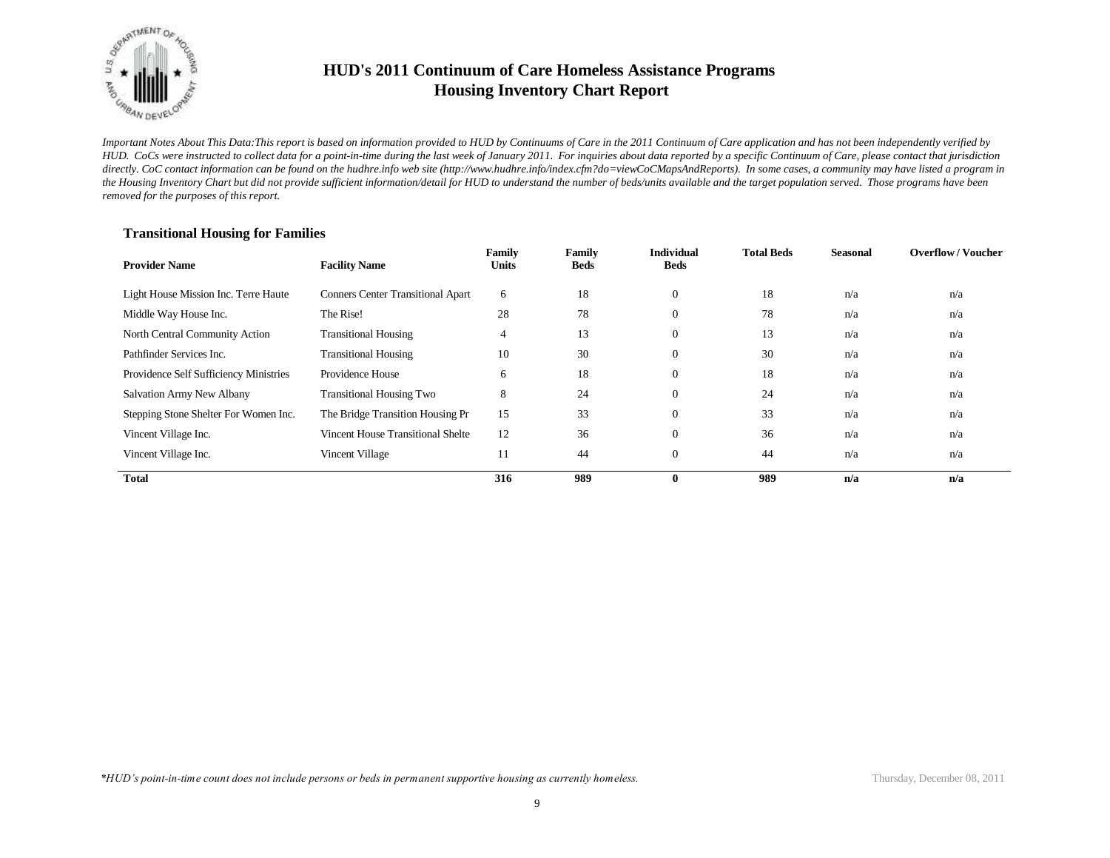

*Important Notes About This Data:This report is based on information provided to HUD by Continuums of Care in the 2011 Continuum of Care application and has not been independently verified by HUD. CoCs were instructed to collect data for a point-in-time during the last week of January 2011. For inquiries about data reported by a specific Continuum of Care, please contact that jurisdiction*  directly. CoC contact information can be found on the hudhre.info web site (http://www.hudhre.info/index.cfm?do=viewCoCMapsAndReports). In some cases, a community may have listed a program in *the Housing Inventory Chart but did not provide sufficient information/detail for HUD to understand the number of beds/units available and the target population served. Those programs have been removed for the purposes of this report.*

| <b>Provider Name</b>                   | <b>Facility Name</b>                     | Family<br>Units | Family<br><b>Beds</b> | <b>Individual</b><br><b>Beds</b> | <b>Total Beds</b> | <b>Seasonal</b> | <b>Overflow/Voucher</b> |
|----------------------------------------|------------------------------------------|-----------------|-----------------------|----------------------------------|-------------------|-----------------|-------------------------|
| Light House Mission Inc. Terre Haute   | <b>Conners Center Transitional Apart</b> | 6               | 18                    | $\theta$                         | 18                | n/a             | n/a                     |
| Middle Way House Inc.                  | The Rise!                                | 28              | 78                    | $\theta$                         | 78                | n/a             | n/a                     |
| North Central Community Action         | <b>Transitional Housing</b>              | 4               | 13                    | $\overline{0}$                   | 13                | n/a             | n/a                     |
| Pathfinder Services Inc.               | <b>Transitional Housing</b>              | 10              | 30                    | $\Omega$                         | 30                | n/a             | n/a                     |
| Providence Self Sufficiency Ministries | Providence House                         | 6               | 18                    | $\Omega$                         | 18                | n/a             | n/a                     |
| Salvation Army New Albany              | <b>Transitional Housing Two</b>          | 8               | 24                    | $\Omega$                         | 24                | n/a             | n/a                     |
| Stepping Stone Shelter For Women Inc.  | The Bridge Transition Housing Pr         | 15              | 33                    | $\Omega$                         | 33                | n/a             | n/a                     |
| Vincent Village Inc.                   | Vincent House Transitional Shelte        | 12              | 36                    | $\Omega$                         | 36                | n/a             | n/a                     |
| Vincent Village Inc.                   | Vincent Village                          | 11              | 44                    | $\Omega$                         | 44                | n/a             | n/a                     |
| <b>Total</b>                           |                                          | 316             | 989                   | 0                                | 989               | n/a             | n/a                     |

#### **Transitional Housing for Families**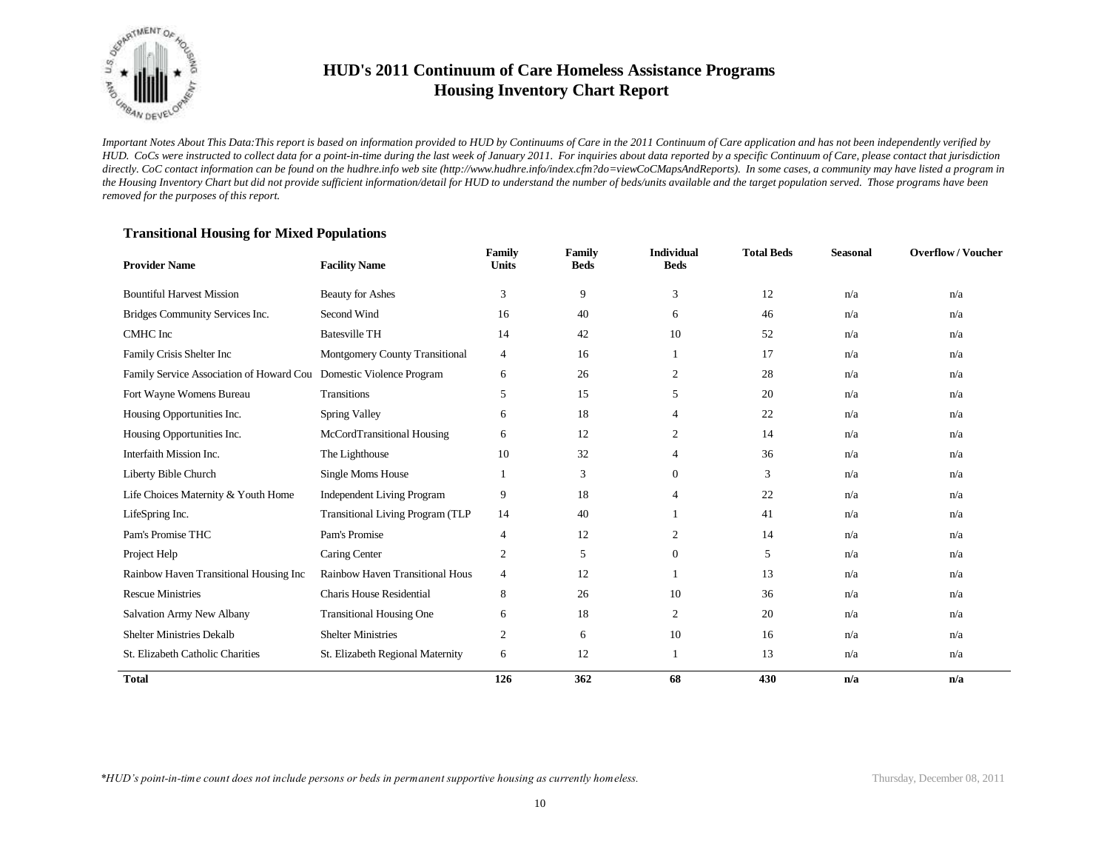

*Important Notes About This Data:This report is based on information provided to HUD by Continuums of Care in the 2011 Continuum of Care application and has not been independently verified by HUD. CoCs were instructed to collect data for a point-in-time during the last week of January 2011. For inquiries about data reported by a specific Continuum of Care, please contact that jurisdiction*  directly. CoC contact information can be found on the hudhre.info web site (http://www.hudhre.info/index.cfm?do=viewCoCMapsAndReports). In some cases, a community may have listed a program in *the Housing Inventory Chart but did not provide sufficient information/detail for HUD to understand the number of beds/units available and the target population served. Those programs have been removed for the purposes of this report.*

#### **Provider Name Facility Name Family Units Family Beds Individual Beds Total Beds Seasonal Overflow / Voucher** Bountiful Harvest Mission Beauty for Ashes 3 3 9 3 12 n/a n/a n/a Bridges Community Services Inc. Second Wind 16 16 40 6 46 n/a n/a n/a CMHC Inc Batesville TH 14 42 10 52 n/a n/a Family Crisis Shelter Inc Montgomery County Transitional 4 16 1 17 n/a n/a n/a Family Service Association of Howard Cou Domestic Violence Program 6 26 26 28 n/a n/a n/a n/a Fort Wayne Womens Bureau Transitions 6 15 15 5 20 n/a n/a n/a n/a n/a Housing Opportunities Inc. Spring Valley 6 18 4 22 n/a n/a n/a Housing Opportunities Inc. McCordTransitional Housing 6 12 2 14 n/a n/a n/a Interfaith Mission Inc. The Lighthouse 10 32 4 36 n/a n/a n/a Liberty Bible Church Single Moms House 1 3 0 3 n/a n/a n/a Life Choices Maternity & Youth Home Independent Living Program 9 18 4 22 n/a n/a n/a LifeSpring Inc. Transitional Living Program (TLP 14 40 1 41 h/a n/a n/a n/a n/a n/a Pam's Promise THC Pam's Promise 2 12 2 14 n/a n/a Project Help **Caring Center** 2 5 0 5 n/a n/a n/a Rainbow Haven Transitional Housing Inc Rainbow Haven Transitional Hous 4 12 1 1 13 n/a n/a n/a Rescue Ministries Charis House Residential and the Secret 26 10 36 n/a n/a n/a n/a Salvation Army New Albany Transitional Housing One 6 18 2 20 n/a n/a n/a Shelter Ministries Dekalb Shelter Ministries 2 6 10 16 n/a n/a n/a St. Elizabeth Catholic Charities St. Elizabeth Regional Maternity 6 12 1 1 13 n/a n/a n/a **Total 126 362 68 430 n/a n/a**

#### **Transitional Housing for Mixed Populations**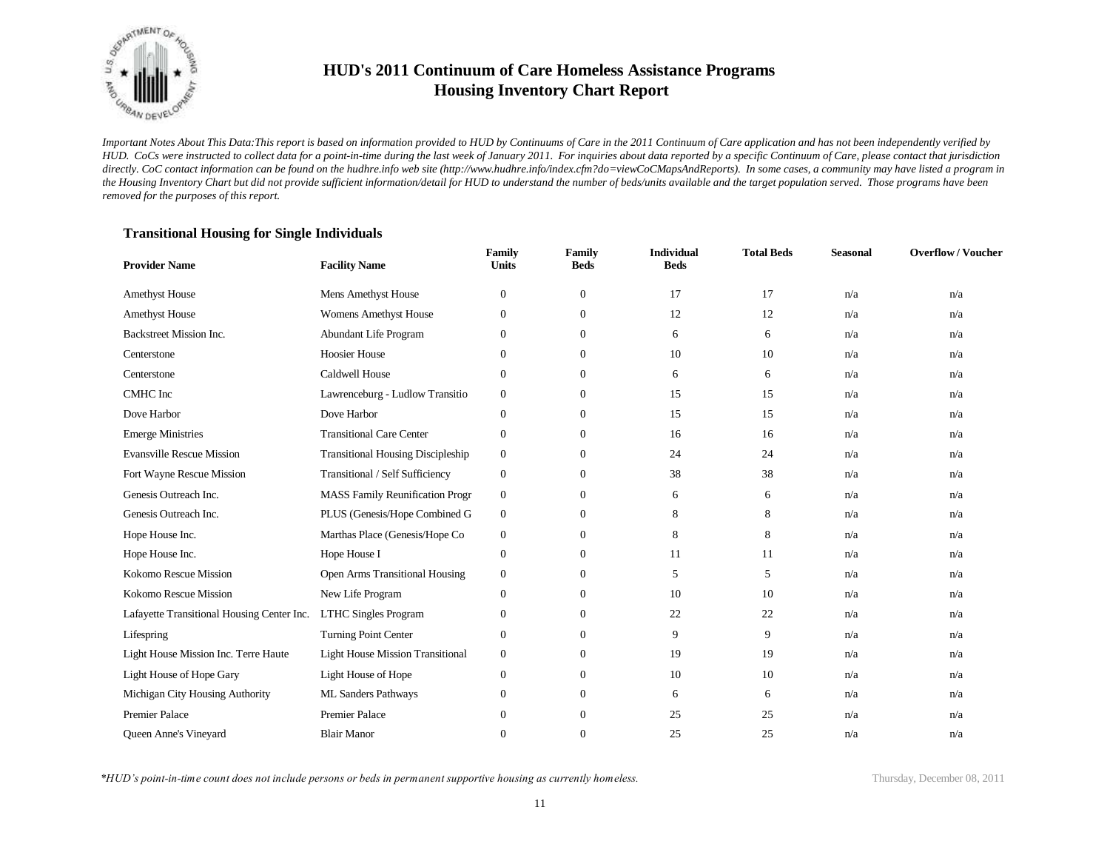

*Important Notes About This Data:This report is based on information provided to HUD by Continuums of Care in the 2011 Continuum of Care application and has not been independently verified by HUD. CoCs were instructed to collect data for a point-in-time during the last week of January 2011. For inquiries about data reported by a specific Continuum of Care, please contact that jurisdiction*  directly. CoC contact information can be found on the hudhre.info web site (http://www.hudhre.info/index.cfm?do=viewCoCMapsAndReports). In some cases, a community may have listed a program in *the Housing Inventory Chart but did not provide sufficient information/detail for HUD to understand the number of beds/units available and the target population served. Those programs have been removed for the purposes of this report.*

#### **Transitional Housing for Single Individuals**

| <b>Provider Name</b>                       | <b>Facility Name</b>                     | Family<br><b>Units</b> | Family<br><b>Beds</b> | <b>Individual</b><br><b>Beds</b> | <b>Total Beds</b> | Seasonal | <b>Overflow/Voucher</b> |
|--------------------------------------------|------------------------------------------|------------------------|-----------------------|----------------------------------|-------------------|----------|-------------------------|
| <b>Amethyst House</b>                      | Mens Amethyst House                      | $\boldsymbol{0}$       | $\mathbf{0}$          | 17                               | 17                | n/a      | n/a                     |
| <b>Amethyst House</b>                      | <b>Womens Amethyst House</b>             | $\mathbf{0}$           | $\mathbf{0}$          | 12                               | 12                | n/a      | n/a                     |
| Backstreet Mission Inc.                    | Abundant Life Program                    | $\mathbf{0}$           | $\mathbf{0}$          | 6                                | 6                 | n/a      | n/a                     |
| Centerstone                                | <b>Hoosier House</b>                     | $\boldsymbol{0}$       | $\mathbf{0}$          | 10                               | 10                | n/a      | n/a                     |
| Centerstone                                | <b>Caldwell House</b>                    | $\mathbf{0}$           | $\mathbf{0}$          | 6                                | 6                 | n/a      | n/a                     |
| CMHC Inc                                   | Lawrenceburg - Ludlow Transitio          | $\boldsymbol{0}$       | $\mathbf{0}$          | 15                               | 15                | n/a      | n/a                     |
| Dove Harbor                                | Dove Harbor                              | $\mathbf{0}$           | $\mathbf{0}$          | 15                               | 15                | n/a      | n/a                     |
| <b>Emerge Ministries</b>                   | <b>Transitional Care Center</b>          | $\boldsymbol{0}$       | $\mathbf{0}$          | 16                               | 16                | n/a      | n/a                     |
| <b>Evansville Rescue Mission</b>           | <b>Transitional Housing Discipleship</b> | $\boldsymbol{0}$       | $\mathbf{0}$          | 24                               | 24                | n/a      | n/a                     |
| Fort Wayne Rescue Mission                  | Transitional / Self Sufficiency          | $\mathbf{0}$           | $\mathbf{0}$          | 38                               | 38                | n/a      | n/a                     |
| Genesis Outreach Inc.                      | <b>MASS Family Reunification Progr</b>   | $\boldsymbol{0}$       | $\overline{0}$        | 6                                | 6                 | n/a      | n/a                     |
| Genesis Outreach Inc.                      | PLUS (Genesis/Hope Combined G            | $\boldsymbol{0}$       | $\mathbf{0}$          | 8                                | 8                 | n/a      | n/a                     |
| Hope House Inc.                            | Marthas Place (Genesis/Hope Co           | $\boldsymbol{0}$       | $\mathbf{0}$          | 8                                | 8                 | n/a      | n/a                     |
| Hope House Inc.                            | Hope House I                             | $\boldsymbol{0}$       | $\mathbf{0}$          | 11                               | 11                | n/a      | n/a                     |
| Kokomo Rescue Mission                      | <b>Open Arms Transitional Housing</b>    | $\boldsymbol{0}$       | $\mathbf{0}$          | 5                                | 5                 | n/a      | n/a                     |
| Kokomo Rescue Mission                      | New Life Program                         | $\boldsymbol{0}$       | $\mathbf{0}$          | 10                               | 10                | n/a      | n/a                     |
| Lafayette Transitional Housing Center Inc. | <b>LTHC Singles Program</b>              | $\boldsymbol{0}$       | $\boldsymbol{0}$      | 22                               | 22                | n/a      | n/a                     |
| Lifespring                                 | <b>Turning Point Center</b>              | $\mathbf{0}$           | $\overline{0}$        | 9                                | 9                 | n/a      | n/a                     |
| Light House Mission Inc. Terre Haute       | <b>Light House Mission Transitional</b>  | $\boldsymbol{0}$       | $\boldsymbol{0}$      | 19                               | 19                | n/a      | n/a                     |
| Light House of Hope Gary                   | Light House of Hope                      | $\boldsymbol{0}$       | $\overline{0}$        | 10                               | 10                | n/a      | n/a                     |
| Michigan City Housing Authority            | <b>ML Sanders Pathways</b>               | $\boldsymbol{0}$       | $\boldsymbol{0}$      | 6                                | 6                 | n/a      | n/a                     |
| <b>Premier Palace</b>                      | <b>Premier Palace</b>                    | $\mathbf{0}$           | $\mathbf{0}$          | 25                               | 25                | n/a      | n/a                     |
| <b>Oueen Anne's Vinevard</b>               | <b>Blair Manor</b>                       | $\mathbf{0}$           | $\mathbf{0}$          | 25                               | 25                | n/a      | n/a                     |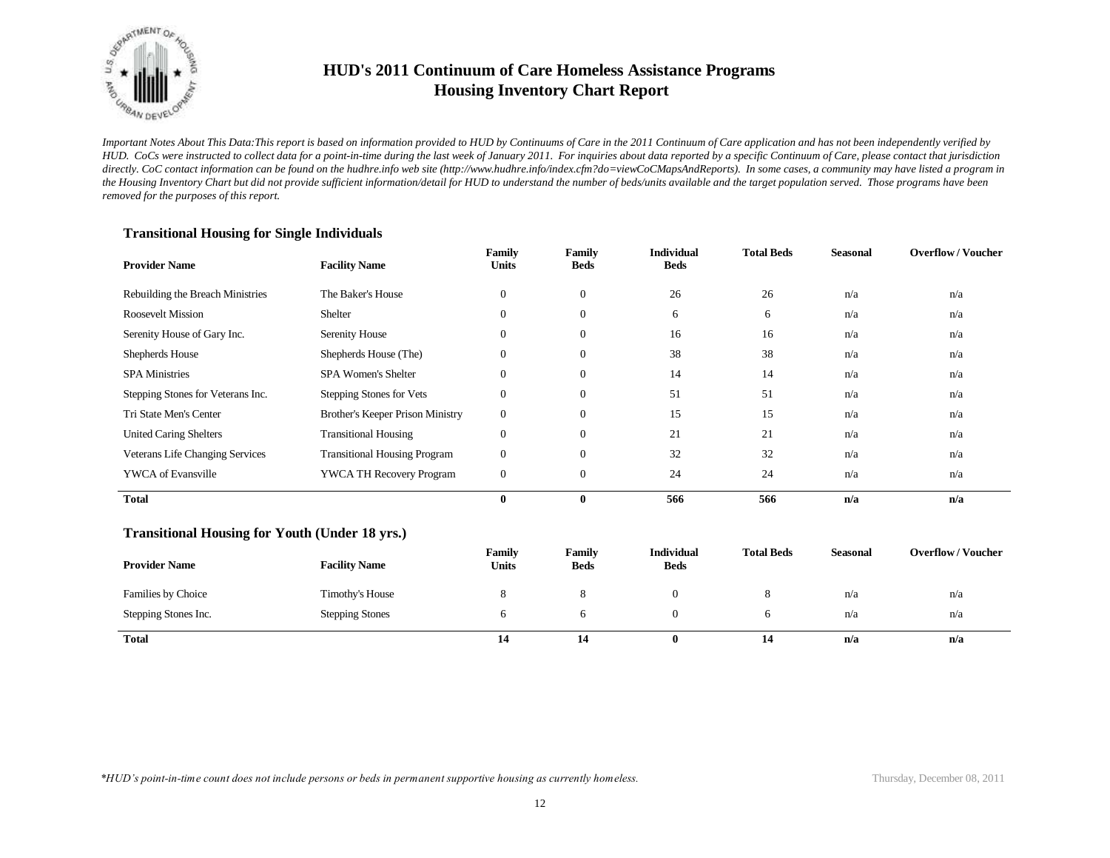

*Important Notes About This Data:This report is based on information provided to HUD by Continuums of Care in the 2011 Continuum of Care application and has not been independently verified by HUD. CoCs were instructed to collect data for a point-in-time during the last week of January 2011. For inquiries about data reported by a specific Continuum of Care, please contact that jurisdiction*  directly. CoC contact information can be found on the hudhre.info web site (http://www.hudhre.info/index.cfm?do=viewCoCMapsAndReports). In some cases, a community may have listed a program in *the Housing Inventory Chart but did not provide sufficient information/detail for HUD to understand the number of beds/units available and the target population served. Those programs have been removed for the purposes of this report.*

| <b>Provider Name</b>                                  | <b>Facility Name</b>                | Family<br><b>Units</b> | Family<br><b>Beds</b> | <b>Individual</b><br><b>Beds</b> | <b>Total Beds</b> | <b>Seasonal</b> | <b>Overflow/Voucher</b> |
|-------------------------------------------------------|-------------------------------------|------------------------|-----------------------|----------------------------------|-------------------|-----------------|-------------------------|
| Rebuilding the Breach Ministries                      | The Baker's House                   | $\boldsymbol{0}$       | $\mathbf{0}$          | 26                               | 26                | n/a             | n/a                     |
| <b>Roosevelt Mission</b>                              | Shelter                             | $\mathbf{0}$           | $\overline{0}$        | 6                                | 6                 | n/a             | n/a                     |
| Serenity House of Gary Inc.                           | Serenity House                      | $\mathbf{0}$           | $\overline{0}$        | 16                               | 16                | n/a             | n/a                     |
| Shepherds House                                       | Shepherds House (The)               | $\mathbf{0}$           | $\mathbf{0}$          | 38                               | 38                | n/a             | n/a                     |
| <b>SPA Ministries</b>                                 | <b>SPA Women's Shelter</b>          | $\mathbf{0}$           | $\overline{0}$        | 14                               | 14                | n/a             | n/a                     |
| Stepping Stones for Veterans Inc.                     | Stepping Stones for Vets            | $\mathbf{0}$           | $\mathbf{0}$          | 51                               | 51                | n/a             | n/a                     |
| Tri State Men's Center                                | Brother's Keeper Prison Ministry    | $\boldsymbol{0}$       | $\boldsymbol{0}$      | 15                               | 15                | n/a             | n/a                     |
| <b>United Caring Shelters</b>                         | <b>Transitional Housing</b>         | $\boldsymbol{0}$       | $\overline{0}$        | 21                               | 21                | n/a             | n/a                     |
| Veterans Life Changing Services                       | <b>Transitional Housing Program</b> | $\boldsymbol{0}$       | $\overline{0}$        | 32                               | 32                | n/a             | n/a                     |
| <b>YWCA</b> of Evansville                             | YWCA TH Recovery Program            | $\boldsymbol{0}$       | $\mathbf{0}$          | 24                               | 24                | n/a             | n/a                     |
| <b>Total</b>                                          |                                     | $\bf{0}$               | $\bf{0}$              | 566                              | 566               | n/a             | n/a                     |
| <b>Transitional Housing for Youth (Under 18 yrs.)</b> |                                     |                        |                       |                                  |                   |                 |                         |
| <b>Provider Name</b>                                  | <b>Facility Name</b>                | Family<br><b>Units</b> | Family<br><b>Beds</b> | <b>Individual</b><br><b>Beds</b> | <b>Total Beds</b> | <b>Seasonal</b> | <b>Overflow/Voucher</b> |
| Families by Choice                                    | Timothy's House                     | 8                      | 8                     | $\mathbf{0}$                     | 8                 | n/a             | n/a                     |
| Stepping Stones Inc.                                  | <b>Stepping Stones</b>              | 6                      | 6                     | $\mathbf{0}$                     | 6                 | n/a             | n/a                     |
| <b>Total</b>                                          |                                     | 14                     | 14                    | $\bf{0}$                         | 14                | n/a             | n/a                     |

#### **Transitional Housing for Single Individuals**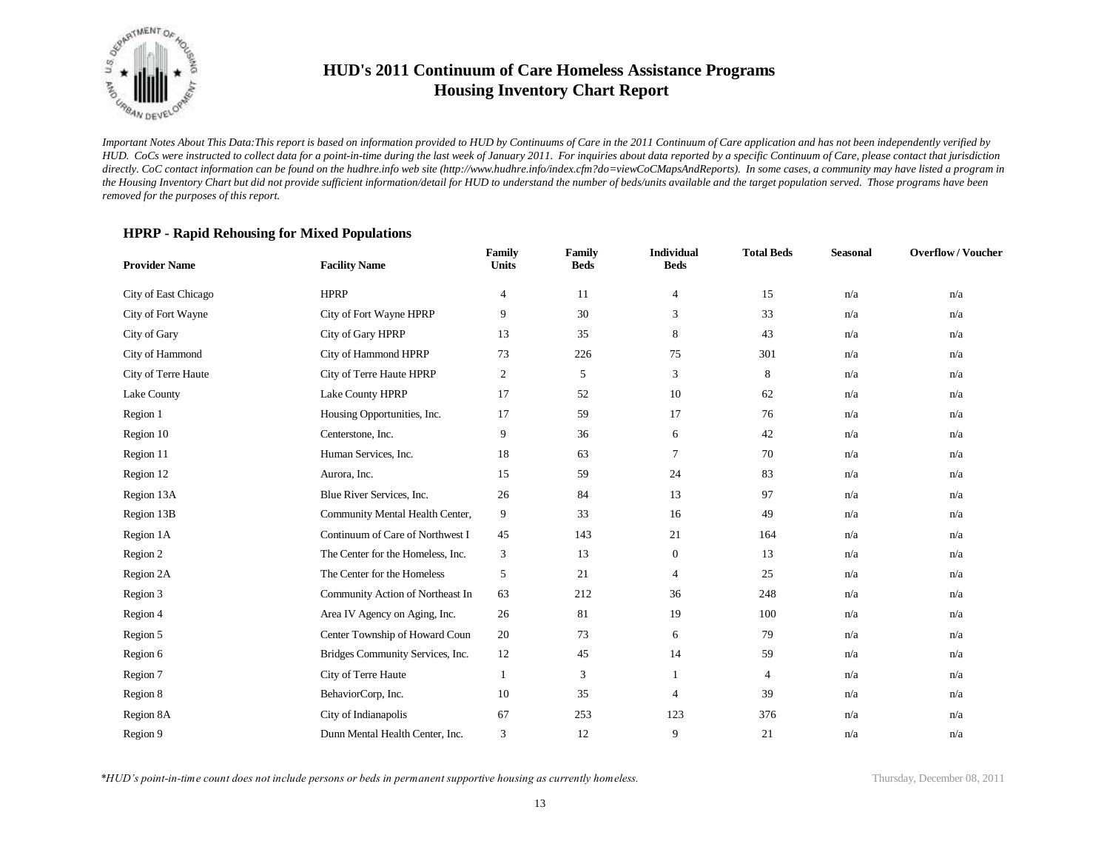

*Important Notes About This Data:This report is based on information provided to HUD by Continuums of Care in the 2011 Continuum of Care application and has not been independently verified by HUD. CoCs were instructed to collect data for a point-in-time during the last week of January 2011. For inquiries about data reported by a specific Continuum of Care, please contact that jurisdiction*  directly. CoC contact information can be found on the hudhre.info web site (http://www.hudhre.info/index.cfm?do=viewCoCMapsAndReports). In some cases, a community may have listed a program in *the Housing Inventory Chart but did not provide sufficient information/detail for HUD to understand the number of beds/units available and the target population served. Those programs have been removed for the purposes of this report.*

#### **HPRP - Rapid Rehousing for Mixed Populations**

| <b>Provider Name</b> | <b>Facility Name</b>              | Family<br><b>Units</b> | <b>Family</b><br><b>Beds</b> | <b>Individual</b><br><b>Beds</b> | <b>Total Beds</b> | <b>Seasonal</b> | <b>Overflow/Voucher</b> |
|----------------------|-----------------------------------|------------------------|------------------------------|----------------------------------|-------------------|-----------------|-------------------------|
| City of East Chicago | <b>HPRP</b>                       | 4                      | 11                           | $\overline{4}$                   | 15                | n/a             | n/a                     |
| City of Fort Wayne   | City of Fort Wayne HPRP           | 9                      | 30                           | 3                                | 33                | n/a             | n/a                     |
| City of Gary         | City of Gary HPRP                 | 13                     | 35                           | 8                                | 43                | n/a             | n/a                     |
| City of Hammond      | City of Hammond HPRP              | 73                     | 226                          | 75                               | 301               | n/a             | n/a                     |
| City of Terre Haute  | City of Terre Haute HPRP          | $\overline{c}$         | 5                            | 3                                | 8                 | n/a             | n/a                     |
| Lake County          | Lake County HPRP                  | 17                     | 52                           | 10                               | 62                | n/a             | n/a                     |
| Region 1             | Housing Opportunities, Inc.       | 17                     | 59                           | 17                               | 76                | n/a             | n/a                     |
| Region 10            | Centerstone, Inc.                 | 9                      | 36                           | 6                                | 42                | n/a             | n/a                     |
| Region 11            | Human Services, Inc.              | 18                     | 63                           | 7                                | 70                | n/a             | n/a                     |
| Region 12            | Aurora, Inc.                      | 15                     | 59                           | 24                               | 83                | n/a             | n/a                     |
| Region 13A           | Blue River Services, Inc.         | 26                     | 84                           | 13                               | 97                | n/a             | n/a                     |
| Region 13B           | Community Mental Health Center,   | 9                      | 33                           | 16                               | 49                | n/a             | n/a                     |
| Region 1A            | Continuum of Care of Northwest I  | 45                     | 143                          | 21                               | 164               | n/a             | n/a                     |
| Region 2             | The Center for the Homeless, Inc. | 3                      | 13                           | $\boldsymbol{0}$                 | 13                | n/a             | n/a                     |
| Region 2A            | The Center for the Homeless       | 5                      | 21                           | 4                                | 25                | n/a             | n/a                     |
| Region 3             | Community Action of Northeast In  | 63                     | 212                          | 36                               | 248               | n/a             | n/a                     |
| Region 4             | Area IV Agency on Aging, Inc.     | 26                     | 81                           | 19                               | 100               | n/a             | n/a                     |
| Region 5             | Center Township of Howard Coun    | 20                     | 73                           | 6                                | 79                | n/a             | n/a                     |
| Region 6             | Bridges Community Services, Inc.  | 12                     | 45                           | 14                               | 59                | n/a             | n/a                     |
| Region 7             | City of Terre Haute               | 1                      | 3                            |                                  | 4                 | n/a             | n/a                     |
| Region 8             | BehaviorCorp, Inc.                | 10                     | 35                           | $\overline{4}$                   | 39                | n/a             | n/a                     |
| Region 8A            | City of Indianapolis              | 67                     | 253                          | 123                              | 376               | n/a             | n/a                     |
| Region 9             | Dunn Mental Health Center, Inc.   | 3                      | 12                           | 9                                | 21                | n/a             | n/a                     |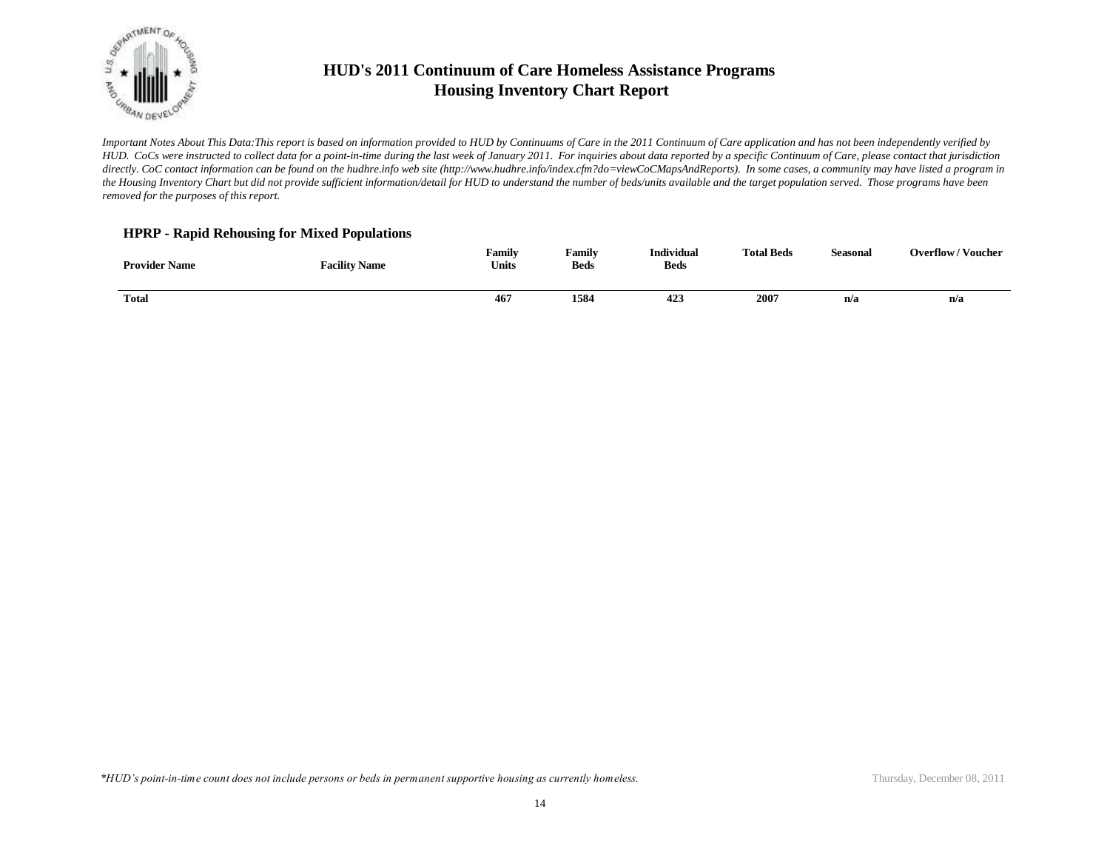

*Important Notes About This Data:This report is based on information provided to HUD by Continuums of Care in the 2011 Continuum of Care application and has not been independently verified by HUD. CoCs were instructed to collect data for a point-in-time during the last week of January 2011. For inquiries about data reported by a specific Continuum of Care, please contact that jurisdiction*  directly. CoC contact information can be found on the hudhre.info web site (http://www.hudhre.info/index.cfm?do=viewCoCMapsAndReports). In some cases, a community may have listed a program in *the Housing Inventory Chart but did not provide sufficient information/detail for HUD to understand the number of beds/units available and the target population served. Those programs have been removed for the purposes of this report.*

#### **HPRP - Rapid Rehousing for Mixed Populations**

| <b>Provider Name</b> | <b>Facility Name</b> | Family<br><b>Units</b> | Family<br><b>Beds</b> | <b>Individual</b><br><b>Beds</b> | <b>Total Beds</b> | <b>Seasonal</b> | <b>Overflow/Voucher</b>     |
|----------------------|----------------------|------------------------|-----------------------|----------------------------------|-------------------|-----------------|-----------------------------|
| Total                |                      | 467                    | 1584                  | 423                              | 2007              | n/a             | n/a<br>$\sim$ $\sim$ $\sim$ |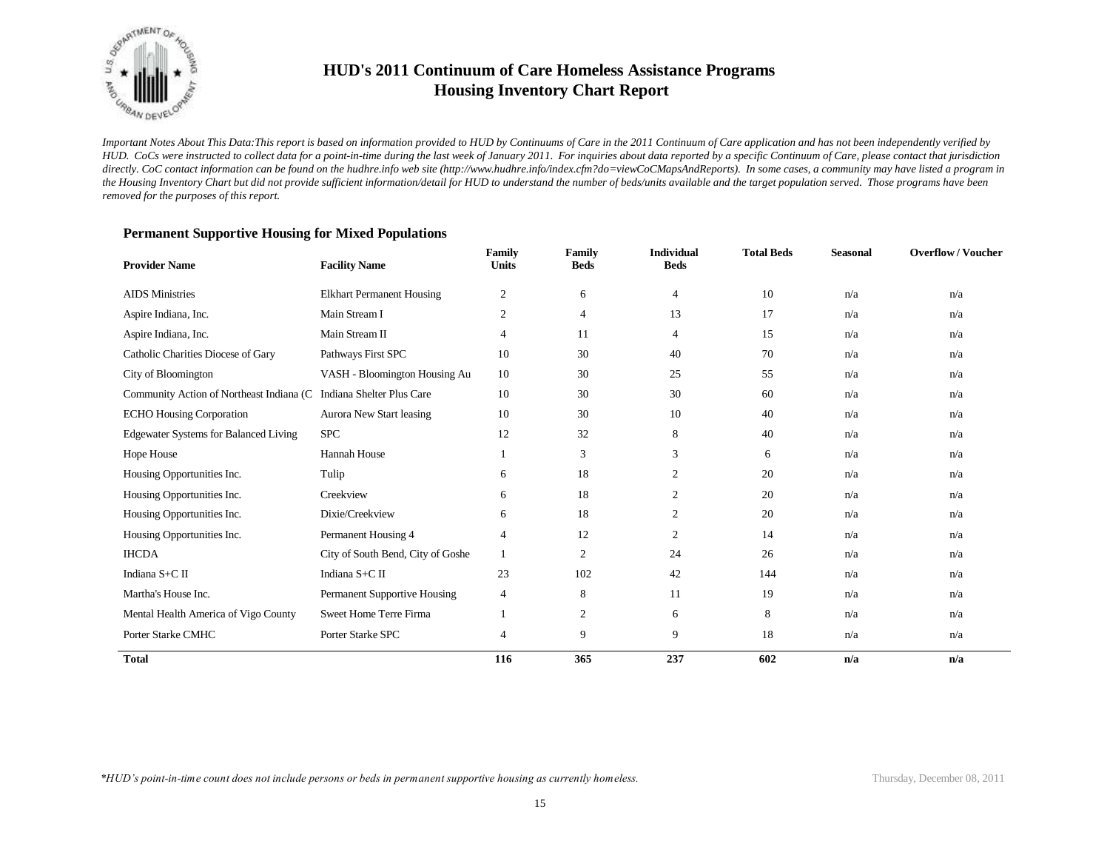

*Important Notes About This Data:This report is based on information provided to HUD by Continuums of Care in the 2011 Continuum of Care application and has not been independently verified by HUD. CoCs were instructed to collect data for a point-in-time during the last week of January 2011. For inquiries about data reported by a specific Continuum of Care, please contact that jurisdiction*  directly. CoC contact information can be found on the hudhre.info web site (http://www.hudhre.info/index.cfm?do=viewCoCMapsAndReports). In some cases, a community may have listed a program in *the Housing Inventory Chart but did not provide sufficient information/detail for HUD to understand the number of beds/units available and the target population served. Those programs have been removed for the purposes of this report.*

| <b>Provider Name</b>                         | <b>Facility Name</b>              | Family<br><b>Units</b> | Family<br><b>Beds</b> | <b>Individual</b><br><b>Beds</b> | <b>Total Beds</b> | <b>Seasonal</b> | <b>Overflow/Voucher</b> |
|----------------------------------------------|-----------------------------------|------------------------|-----------------------|----------------------------------|-------------------|-----------------|-------------------------|
| <b>AIDS</b> Ministries                       | <b>Elkhart Permanent Housing</b>  | $\overline{c}$         | 6                     | 4                                | 10                | n/a             | n/a                     |
| Aspire Indiana, Inc.                         | Main Stream I                     | 2                      | 4                     | 13                               | 17                | n/a             | n/a                     |
| Aspire Indiana, Inc.                         | Main Stream II                    | 4                      | 11                    | 4                                | 15                | n/a             | n/a                     |
| Catholic Charities Diocese of Gary           | Pathways First SPC                | 10                     | 30                    | 40                               | 70                | n/a             | n/a                     |
| City of Bloomington                          | VASH - Bloomington Housing Au     | 10                     | 30                    | 25                               | 55                | n/a             | n/a                     |
| Community Action of Northeast Indiana (C     | Indiana Shelter Plus Care         | 10                     | 30                    | 30                               | 60                | n/a             | n/a                     |
| <b>ECHO Housing Corporation</b>              | Aurora New Start leasing          | 10                     | 30                    | 10                               | 40                | n/a             | n/a                     |
| <b>Edgewater Systems for Balanced Living</b> | <b>SPC</b>                        | 12                     | 32                    | 8                                | 40                | n/a             | n/a                     |
| Hope House                                   | Hannah House                      |                        | 3                     | 3                                | 6                 | n/a             | n/a                     |
| Housing Opportunities Inc.                   | Tulip                             | 6                      | 18                    | 2                                | 20                | n/a             | n/a                     |
| Housing Opportunities Inc.                   | Creekview                         | 6                      | 18                    | 2                                | 20                | n/a             | n/a                     |
| Housing Opportunities Inc.                   | Dixie/Creekview                   | 6                      | 18                    | 2                                | 20                | n/a             | n/a                     |
| Housing Opportunities Inc.                   | Permanent Housing 4               | 4                      | 12                    | 2                                | 14                | n/a             | n/a                     |
| <b>IHCDA</b>                                 | City of South Bend, City of Goshe | 1                      | $\mathfrak{2}$        | 24                               | 26                | n/a             | n/a                     |
| Indiana S+C II                               | Indiana S+C II                    | 23                     | 102                   | 42                               | 144               | n/a             | n/a                     |
| Martha's House Inc.                          | Permanent Supportive Housing      | 4                      | 8                     | 11                               | 19                | n/a             | n/a                     |
| Mental Health America of Vigo County         | Sweet Home Terre Firma            | 1                      | $\mathbf{2}$          | 6                                | 8                 | n/a             | n/a                     |
| Porter Starke CMHC                           | Porter Starke SPC                 | 4                      | 9                     | 9                                | 18                | n/a             | n/a                     |
| <b>Total</b>                                 |                                   | 116                    | 365                   | 237                              | 602               | n/a             | n/a                     |

#### **Permanent Supportive Housing for Mixed Populations**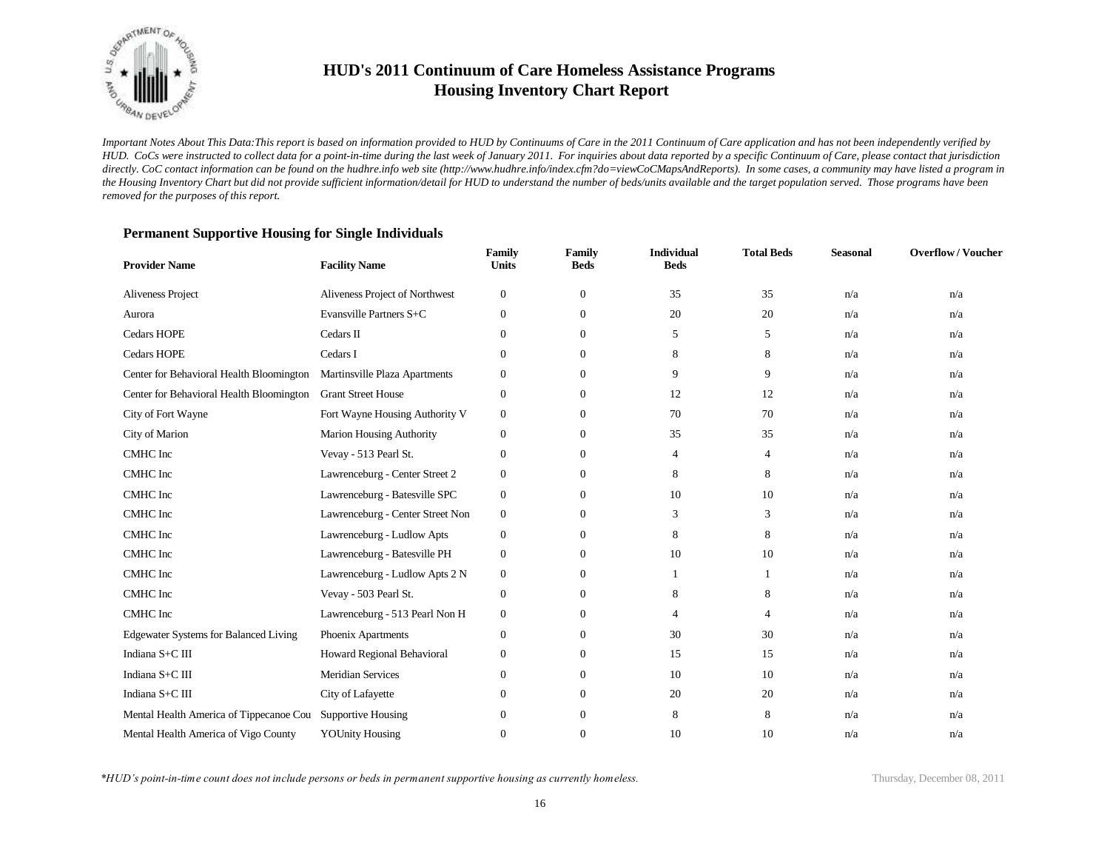

*Important Notes About This Data:This report is based on information provided to HUD by Continuums of Care in the 2011 Continuum of Care application and has not been independently verified by HUD. CoCs were instructed to collect data for a point-in-time during the last week of January 2011. For inquiries about data reported by a specific Continuum of Care, please contact that jurisdiction*  directly. CoC contact information can be found on the hudhre.info web site (http://www.hudhre.info/index.cfm?do=viewCoCMapsAndReports). In some cases, a community may have listed a program in *the Housing Inventory Chart but did not provide sufficient information/detail for HUD to understand the number of beds/units available and the target population served. Those programs have been removed for the purposes of this report.*

| <b>Provider Name</b>                         | <b>Facility Name</b>             | Family<br><b>Units</b> | Family<br><b>Beds</b> | <b>Individual</b><br><b>Beds</b> | <b>Total Beds</b> | <b>Seasonal</b> | <b>Overflow/Voucher</b> |
|----------------------------------------------|----------------------------------|------------------------|-----------------------|----------------------------------|-------------------|-----------------|-------------------------|
| Aliveness Project                            | Aliveness Project of Northwest   | $\boldsymbol{0}$       | $\mathbf{0}$          | 35                               | 35                | n/a             | n/a                     |
| Aurora                                       | Evansville Partners S+C          | $\mathbf{0}$           | $\mathbf{0}$          | 20                               | 20                | n/a             | n/a                     |
| <b>Cedars HOPE</b>                           | Cedars II                        | $\mathbf{0}$           | $\mathbf{0}$          | 5                                | 5                 | n/a             | n/a                     |
| Cedars HOPE                                  | Cedars I                         | $\overline{0}$         | $\overline{0}$        | 8                                | 8                 | n/a             | n/a                     |
| Center for Behavioral Health Bloomington     | Martinsville Plaza Apartments    | $\boldsymbol{0}$       | $\mathbf{0}$          | 9                                | 9                 | n/a             | n/a                     |
| Center for Behavioral Health Bloomington     | <b>Grant Street House</b>        | $\boldsymbol{0}$       | $\mathbf{0}$          | 12                               | 12                | n/a             | n/a                     |
| City of Fort Wayne                           | Fort Wayne Housing Authority V   | $\boldsymbol{0}$       | $\mathbf{0}$          | 70                               | 70                | n/a             | n/a                     |
| City of Marion                               | <b>Marion Housing Authority</b>  | $\mathbf{0}$           | $\mathbf{0}$          | 35                               | 35                | n/a             | n/a                     |
| <b>CMHC</b> Inc                              | Vevay - 513 Pearl St.            | $\mathbf{0}$           | $\overline{0}$        | $\overline{4}$                   | 4                 | n/a             | n/a                     |
| CMHC Inc                                     | Lawrenceburg - Center Street 2   | $\boldsymbol{0}$       | $\overline{0}$        | 8                                | 8                 | n/a             | n/a                     |
| CMHC Inc                                     | Lawrenceburg - Batesville SPC    | $\boldsymbol{0}$       | $\mathbf{0}$          | 10                               | 10                | n/a             | n/a                     |
| CMHC Inc                                     | Lawrenceburg - Center Street Non | $\boldsymbol{0}$       | $\mathbf{0}$          | 3                                | 3                 | n/a             | n/a                     |
| <b>CMHC</b> Inc                              | Lawrenceburg - Ludlow Apts       | $\boldsymbol{0}$       | $\mathbf{0}$          | 8                                | 8                 | n/a             | n/a                     |
| <b>CMHC</b> Inc                              | Lawrenceburg - Batesville PH     | $\boldsymbol{0}$       | $\overline{0}$        | 10                               | 10                | n/a             | n/a                     |
| CMHC Inc                                     | Lawrenceburg - Ludlow Apts 2 N   | $\boldsymbol{0}$       | $\mathbf{0}$          |                                  |                   | n/a             | n/a                     |
| CMHC Inc                                     | Vevay - 503 Pearl St.            | $\boldsymbol{0}$       | $\mathbf{0}$          | 8                                | 8                 | n/a             | n/a                     |
| <b>CMHC</b> Inc                              | Lawrenceburg - 513 Pearl Non H   | $\boldsymbol{0}$       | $\mathbf{0}$          | 4                                | 4                 | n/a             | n/a                     |
| <b>Edgewater Systems for Balanced Living</b> | Phoenix Apartments               | $\boldsymbol{0}$       | $\mathbf{0}$          | 30                               | 30                | n/a             | n/a                     |
| Indiana S+C III                              | Howard Regional Behavioral       | $\boldsymbol{0}$       | $\mathbf{0}$          | 15                               | 15                | n/a             | n/a                     |
| Indiana S+C III                              | <b>Meridian Services</b>         | $\mathbf{0}$           | $\mathbf{0}$          | 10                               | 10                | n/a             | n/a                     |
| Indiana S+C III                              | City of Lafayette                | $\mathbf{0}$           | $\mathbf{0}$          | 20                               | 20                | n/a             | n/a                     |
| Mental Health America of Tippecanoe Cou      | <b>Supportive Housing</b>        | $\boldsymbol{0}$       | $\mathbf{0}$          | 8                                | 8                 | n/a             | n/a                     |
| Mental Health America of Vigo County         | <b>YOUnity Housing</b>           | $\mathbf{0}$           | $\theta$              | 10                               | 10                | n/a             | n/a                     |

#### **Permanent Supportive Housing for Single Individuals**